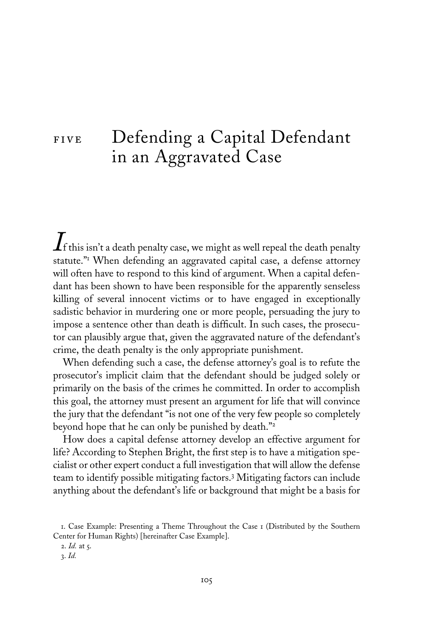# five Defending a Capital Defendant in an Aggravated Case

 $\boldsymbol{I}$ f this isn't a death penalty case, we might as well repeal the death penalty statute."<sup>1</sup> When defending an aggravated capital case, a defense attorney will often have to respond to this kind of argument. When a capital defendant has been shown to have been responsible for the apparently senseless killing of several innocent victims or to have engaged in exceptionally sadistic behavior in murdering one or more people, persuading the jury to impose a sentence other than death is difficult. In such cases, the prosecutor can plausibly argue that, given the aggravated nature of the defendant's crime, the death penalty is the only appropriate punishment.

When defending such a case, the defense attorney's goal is to refute the prosecutor's implicit claim that the defendant should be judged solely or primarily on the basis of the crimes he committed. In order to accomplish this goal, the attorney must present an argument for life that will convince the jury that the defendant "is not one of the very few people so completely beyond hope that he can only be punished by death."2

How does a capital defense attorney develop an effective argument for life? According to Stephen Bright, the first step is to have a mitigation specialist or other expert conduct a full investigation that will allow the defense team to identify possible mitigating factors.3 Mitigating factors can include anything about the defendant's life or background that might be a basis for

<sup>1.</sup> Case Example: Presenting a Theme Throughout the Case 1 (Distributed by the Southern Center for Human Rights) [hereinafter Case Example].

<sup>2.</sup> *Id.* at 5.

<sup>3.</sup> *Id.*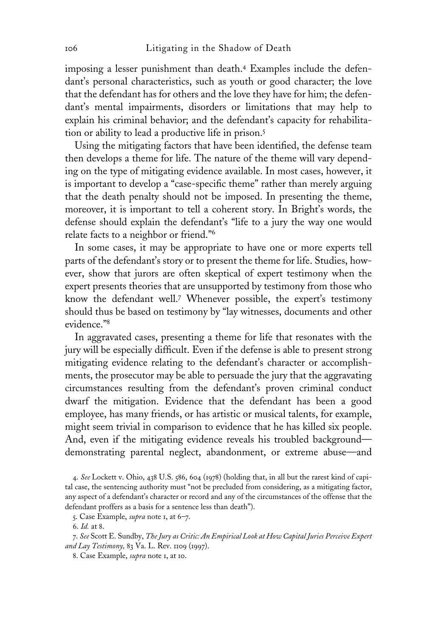imposing a lesser punishment than death.4 Examples include the defendant's personal characteristics, such as youth or good character; the love that the defendant has for others and the love they have for him; the defendant's mental impairments, disorders or limitations that may help to explain his criminal behavior; and the defendant's capacity for rehabilitation or ability to lead a productive life in prison.5

Using the mitigating factors that have been identified, the defense team then develops a theme for life. The nature of the theme will vary depending on the type of mitigating evidence available. In most cases, however, it is important to develop a "case-specific theme" rather than merely arguing that the death penalty should not be imposed. In presenting the theme, moreover, it is important to tell a coherent story. In Bright's words, the defense should explain the defendant's "life to a jury the way one would relate facts to a neighbor or friend."<sup>6</sup>

In some cases, it may be appropriate to have one or more experts tell parts of the defendant's story or to present the theme for life. Studies, however, show that jurors are often skeptical of expert testimony when the expert presents theories that are unsupported by testimony from those who know the defendant well.7 Whenever possible, the expert's testimony should thus be based on testimony by "lay witnesses, documents and other evidence."8

In aggravated cases, presenting a theme for life that resonates with the jury will be especially difficult. Even if the defense is able to present strong mitigating evidence relating to the defendant's character or accomplishments, the prosecutor may be able to persuade the jury that the aggravating circumstances resulting from the defendant's proven criminal conduct dwarf the mitigation. Evidence that the defendant has been a good employee, has many friends, or has artistic or musical talents, for example, might seem trivial in comparison to evidence that he has killed six people. And, even if the mitigating evidence reveals his troubled background demonstrating parental neglect, abandonment, or extreme abuse—and

<sup>4.</sup> *See* Lockett v. Ohio, 438 U.S. 586, 604 (1978) (holding that, in all but the rarest kind of capital case, the sentencing authority must "not be precluded from considering, as a mitigating factor, any aspect of a defendant's character or record and any of the circumstances of the offense that the defendant proffers as a basis for a sentence less than death").

<sup>5.</sup> Case Example, *supra* note 1, at 6–7.

<sup>6.</sup> *Id.* at 8.

<sup>7.</sup> *See* Scott E. Sundby, *The Jury as Critic: An Empirical Look at How Capital Juries Perceive Expert and Lay Testimony,* 83 Va. L. Rev. 1109 (1997).

<sup>8.</sup> Case Example, *supra* note 1, at 10.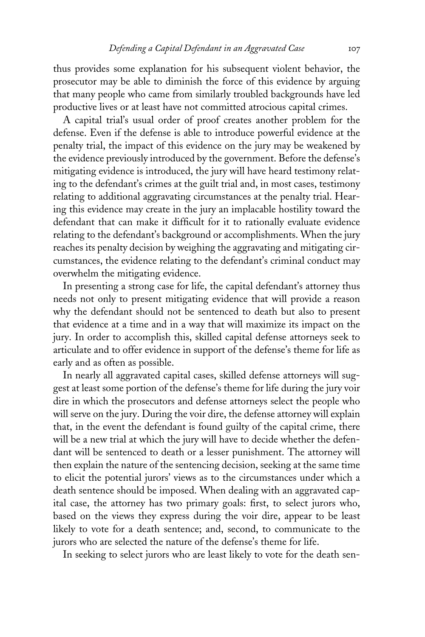thus provides some explanation for his subsequent violent behavior, the prosecutor may be able to diminish the force of this evidence by arguing that many people who came from similarly troubled backgrounds have led productive lives or at least have not committed atrocious capital crimes.

A capital trial's usual order of proof creates another problem for the defense. Even if the defense is able to introduce powerful evidence at the penalty trial, the impact of this evidence on the jury may be weakened by the evidence previously introduced by the government. Before the defense's mitigating evidence is introduced, the jury will have heard testimony relating to the defendant's crimes at the guilt trial and, in most cases, testimony relating to additional aggravating circumstances at the penalty trial. Hearing this evidence may create in the jury an implacable hostility toward the defendant that can make it difficult for it to rationally evaluate evidence relating to the defendant's background or accomplishments. When the jury reaches its penalty decision by weighing the aggravating and mitigating circumstances, the evidence relating to the defendant's criminal conduct may overwhelm the mitigating evidence.

In presenting a strong case for life, the capital defendant's attorney thus needs not only to present mitigating evidence that will provide a reason why the defendant should not be sentenced to death but also to present that evidence at a time and in a way that will maximize its impact on the jury. In order to accomplish this, skilled capital defense attorneys seek to articulate and to offer evidence in support of the defense's theme for life as early and as often as possible.

In nearly all aggravated capital cases, skilled defense attorneys will suggest at least some portion of the defense's theme for life during the jury voir dire in which the prosecutors and defense attorneys select the people who will serve on the jury. During the voir dire, the defense attorney will explain that, in the event the defendant is found guilty of the capital crime, there will be a new trial at which the jury will have to decide whether the defendant will be sentenced to death or a lesser punishment. The attorney will then explain the nature of the sentencing decision, seeking at the same time to elicit the potential jurors' views as to the circumstances under which a death sentence should be imposed. When dealing with an aggravated capital case, the attorney has two primary goals: first, to select jurors who, based on the views they express during the voir dire, appear to be least likely to vote for a death sentence; and, second, to communicate to the jurors who are selected the nature of the defense's theme for life.

In seeking to select jurors who are least likely to vote for the death sen-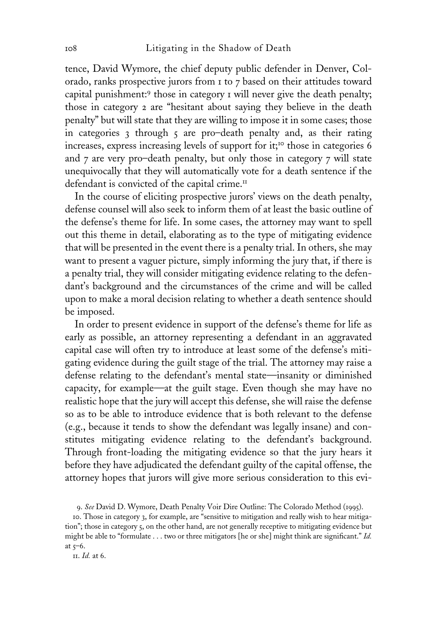tence, David Wymore, the chief deputy public defender in Denver, Colorado, ranks prospective jurors from 1 to 7 based on their attitudes toward capital punishment:9 those in category 1 will never give the death penalty; those in category 2 are "hesitant about saying they believe in the death penalty" but will state that they are willing to impose it in some cases; those in categories 3 through 5 are pro–death penalty and, as their rating increases, express increasing levels of support for it;<sup>10</sup> those in categories 6 and  $7$  are very pro-death penalty, but only those in category  $7$  will state unequivocally that they will automatically vote for a death sentence if the defendant is convicted of the capital crime.<sup>11</sup>

In the course of eliciting prospective jurors' views on the death penalty, defense counsel will also seek to inform them of at least the basic outline of the defense's theme for life. In some cases, the attorney may want to spell out this theme in detail, elaborating as to the type of mitigating evidence that will be presented in the event there is a penalty trial. In others, she may want to present a vaguer picture, simply informing the jury that, if there is a penalty trial, they will consider mitigating evidence relating to the defendant's background and the circumstances of the crime and will be called upon to make a moral decision relating to whether a death sentence should be imposed.

In order to present evidence in support of the defense's theme for life as early as possible, an attorney representing a defendant in an aggravated capital case will often try to introduce at least some of the defense's mitigating evidence during the guilt stage of the trial. The attorney may raise a defense relating to the defendant's mental state—insanity or diminished capacity, for example—at the guilt stage. Even though she may have no realistic hope that the jury will accept this defense, she will raise the defense so as to be able to introduce evidence that is both relevant to the defense (e.g., because it tends to show the defendant was legally insane) and constitutes mitigating evidence relating to the defendant's background. Through front-loading the mitigating evidence so that the jury hears it before they have adjudicated the defendant guilty of the capital offense, the attorney hopes that jurors will give more serious consideration to this evi-

10. Those in category 3, for example, are "sensitive to mitigation and really wish to hear mitigation"; those in category 5, on the other hand, are not generally receptive to mitigating evidence but might be able to "formulate . . . two or three mitigators [he or she] might think are significant." *Id.* at  $5-6$ .

11. *Id.* at 6.

<sup>9.</sup> *See* David D. Wymore, Death Penalty Voir Dire Outline: The Colorado Method (1995).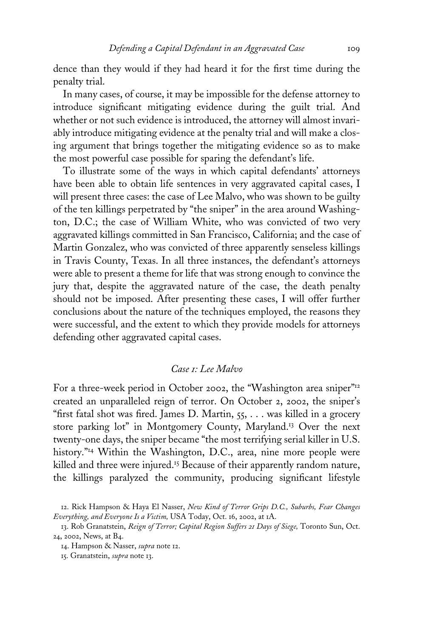dence than they would if they had heard it for the first time during the penalty trial.

In many cases, of course, it may be impossible for the defense attorney to introduce significant mitigating evidence during the guilt trial. And whether or not such evidence is introduced, the attorney will almost invariably introduce mitigating evidence at the penalty trial and will make a closing argument that brings together the mitigating evidence so as to make the most powerful case possible for sparing the defendant's life.

To illustrate some of the ways in which capital defendants' attorneys have been able to obtain life sentences in very aggravated capital cases, I will present three cases: the case of Lee Malvo, who was shown to be guilty of the ten killings perpetrated by "the sniper" in the area around Washington, D.C.; the case of William White, who was convicted of two very aggravated killings committed in San Francisco, California; and the case of Martin Gonzalez, who was convicted of three apparently senseless killings in Travis County, Texas. In all three instances, the defendant's attorneys were able to present a theme for life that was strong enough to convince the jury that, despite the aggravated nature of the case, the death penalty should not be imposed. After presenting these cases, I will offer further conclusions about the nature of the techniques employed, the reasons they were successful, and the extent to which they provide models for attorneys defending other aggravated capital cases.

### *Case 1: Lee Malvo*

For a three-week period in October 2002, the "Washington area sniper"<sup>12</sup> created an unparalleled reign of terror. On October 2, 2002, the sniper's "first fatal shot was fired. James D. Martin,  $55$ , ... was killed in a grocery store parking lot" in Montgomery County, Maryland.13 Over the next twenty-one days, the sniper became "the most terrifying serial killer in U.S. history."<sup>14</sup> Within the Washington, D.C., area, nine more people were killed and three were injured.<sup>15</sup> Because of their apparently random nature, the killings paralyzed the community, producing significant lifestyle

<sup>12.</sup> Rick Hampson & Haya El Nasser, *New Kind of Terror Grips D.C., Suburbs, Fear Changes Everything, and Everyone Is a Victim,* USA Today, Oct. 16, 2002, at 1A.

<sup>13.</sup> Rob Granatstein, *Reign of Terror; Capital Region Suffers 21 Days of Siege,* Toronto Sun, Oct. 24, 2002, News, at B4.

<sup>14.</sup> Hampson & Nasser, *supra* note 12.

<sup>15.</sup> Granatstein, *supra* note 13.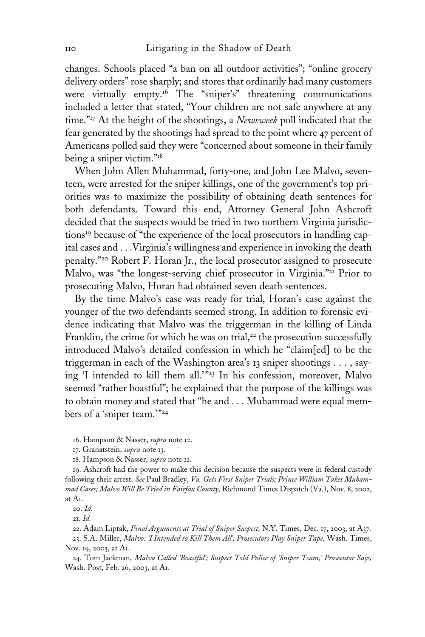changes. Schools placed "a ban on all outdoor activities"; "online grocery delivery orders" rose sharply; and stores that ordinarily had many customers were virtually empty.<sup>16</sup> The "sniper's" threatening communications included a letter that stated, "Your children are not safe anywhere at any time."<sup>17</sup> At the height of the shootings, a *Newsweek* poll indicated that the fear generated by the shootings had spread to the point where 47 percent of Americans polled said they were "concerned about someone in their family being a sniper victim."18

When John Allen Muhammad, forty-one, and John Lee Malvo, seventeen, were arrested for the sniper killings, one of the government's top priorities was to maximize the possibility of obtaining death sentences for both defendants. Toward this end, Attorney General John Ashcroft decided that the suspects would be tried in two northern Virginia jurisdictions<sup>19</sup> because of "the experience of the local prosecutors in handling capital cases and . . .Virginia's willingness and experience in invoking the death penalty."<sup>20</sup> Robert F. Horan Jr., the local prosecutor assigned to prosecute Malvo, was "the longest-serving chief prosecutor in Virginia."<sup>21</sup> Prior to prosecuting Malvo, Horan had obtained seven death sentences.

By the time Malvo's case was ready for trial, Horan's case against the younger of the two defendants seemed strong. In addition to forensic evidence indicating that Malvo was the triggerman in the killing of Linda Franklin, the crime for which he was on trial, $22$  the prosecution successfully introduced Malvo's detailed confession in which he "claim[ed] to be the triggerman in each of the Washington area's 13 sniper shootings  $\dots$ , saying 'I intended to kill them all.'"23 In his confession, moreover, Malvo seemed "rather boastful"; he explained that the purpose of the killings was to obtain money and stated that "he and . . . Muhammad were equal members of a 'sniper team.'"24

16. Hampson & Nasser, *supra* note 12.

17. Granatstein, *supra* note 13.

18. Hampson & Nasser, *supra* note 12.

19. Ashcroft had the power to make this decision because the suspects were in federal custody following their arrest. *See* Paul Bradley, *Va. Gets First Sniper Trials; Prince William Takes Muhammad Cases; Malvo Will Be Tried in Fairfax County,* Richmond Times Dispatch (Va.), Nov. 8, 2002, at A1.

21. *Id.*

22. Adam Liptak, *Final Arguments at Trial of Sniper Suspect,* N.Y. Times, Dec. 17, 2003, at A37. 23. S.A. Miller, *Malvo: 'I Intended to Kill Them All'; Prosecutors Play Sniper Tape,* Wash. Times, Nov. 19, 2003, at A1.

24. Tom Jackman, *Malvo Called 'Boastful'; Suspect Told Police of 'Sniper Team,' Prosecutor Says,* Wash. Post, Feb. 26, 2003, at A1.

<sup>20.</sup> *Id.*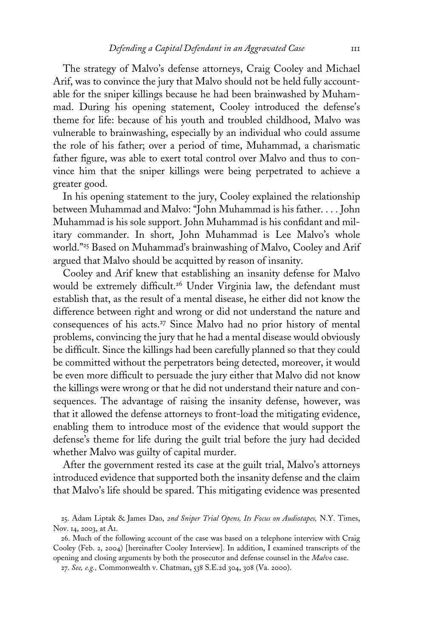The strategy of Malvo's defense attorneys, Craig Cooley and Michael Arif, was to convince the jury that Malvo should not be held fully accountable for the sniper killings because he had been brainwashed by Muhammad. During his opening statement, Cooley introduced the defense's theme for life: because of his youth and troubled childhood, Malvo was vulnerable to brainwashing, especially by an individual who could assume the role of his father; over a period of time, Muhammad, a charismatic father figure, was able to exert total control over Malvo and thus to convince him that the sniper killings were being perpetrated to achieve a greater good.

In his opening statement to the jury, Cooley explained the relationship between Muhammad and Malvo: "John Muhammad is his father. . . . John Muhammad is his sole support. John Muhammad is his confidant and military commander. In short, John Muhammad is Lee Malvo's whole world."<sup>25</sup> Based on Muhammad's brainwashing of Malvo, Cooley and Arif argued that Malvo should be acquitted by reason of insanity.

Cooley and Arif knew that establishing an insanity defense for Malvo would be extremely difficult.<sup>26</sup> Under Virginia law, the defendant must establish that, as the result of a mental disease, he either did not know the difference between right and wrong or did not understand the nature and consequences of his acts.27 Since Malvo had no prior history of mental problems, convincing the jury that he had a mental disease would obviously be difficult. Since the killings had been carefully planned so that they could be committed without the perpetrators being detected, moreover, it would be even more difficult to persuade the jury either that Malvo did not know the killings were wrong or that he did not understand their nature and consequences. The advantage of raising the insanity defense, however, was that it allowed the defense attorneys to front-load the mitigating evidence, enabling them to introduce most of the evidence that would support the defense's theme for life during the guilt trial before the jury had decided whether Malvo was guilty of capital murder.

After the government rested its case at the guilt trial, Malvo's attorneys introduced evidence that supported both the insanity defense and the claim that Malvo's life should be spared. This mitigating evidence was presented

27. *See, e.g.,* Commonwealth v. Chatman, 538 S.E.2d 304, 308 (Va. 2000).

<sup>25.</sup> Adam Liptak & James Dao, *2nd Sniper Trial Opens, Its Focus on Audiotapes,* N.Y. Times, Nov. 14, 2003, at A1.

<sup>26.</sup> Much of the following account of the case was based on a telephone interview with Craig Cooley (Feb. 2, 2004) [hereinafter Cooley Interview]. In addition, I examined transcripts of the opening and closing arguments by both the prosecutor and defense counsel in the *Malvo* case.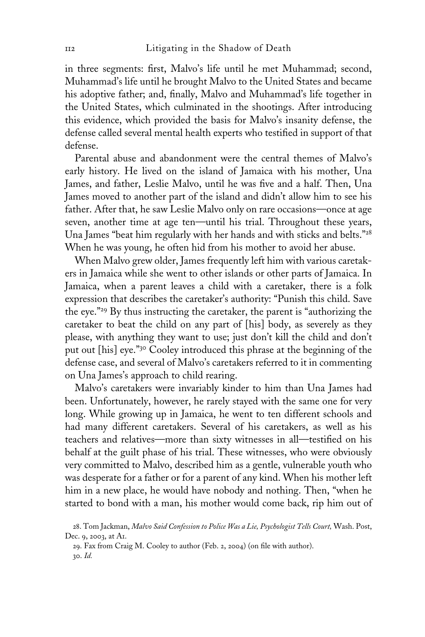in three segments: first, Malvo's life until he met Muhammad; second, Muhammad's life until he brought Malvo to the United States and became his adoptive father; and, finally, Malvo and Muhammad's life together in the United States, which culminated in the shootings. After introducing this evidence, which provided the basis for Malvo's insanity defense, the defense called several mental health experts who testified in support of that defense.

Parental abuse and abandonment were the central themes of Malvo's early history. He lived on the island of Jamaica with his mother, Una James, and father, Leslie Malvo, until he was five and a half. Then, Una James moved to another part of the island and didn't allow him to see his father. After that, he saw Leslie Malvo only on rare occasions—once at age seven, another time at age ten—until his trial. Throughout these years, Una James "beat him regularly with her hands and with sticks and belts."<sup>28</sup> When he was young, he often hid from his mother to avoid her abuse.

When Malvo grew older, James frequently left him with various caretakers in Jamaica while she went to other islands or other parts of Jamaica. In Jamaica, when a parent leaves a child with a caretaker, there is a folk expression that describes the caretaker's authority: "Punish this child. Save the eye."<sup>29</sup> By thus instructing the caretaker, the parent is "authorizing the caretaker to beat the child on any part of [his] body, as severely as they please, with anything they want to use; just don't kill the child and don't put out [his] eye."<sup>30</sup> Cooley introduced this phrase at the beginning of the defense case, and several of Malvo's caretakers referred to it in commenting on Una James's approach to child rearing.

Malvo's caretakers were invariably kinder to him than Una James had been. Unfortunately, however, he rarely stayed with the same one for very long. While growing up in Jamaica, he went to ten different schools and had many different caretakers. Several of his caretakers, as well as his teachers and relatives—more than sixty witnesses in all—testified on his behalf at the guilt phase of his trial. These witnesses, who were obviously very committed to Malvo, described him as a gentle, vulnerable youth who was desperate for a father or for a parent of any kind. When his mother left him in a new place, he would have nobody and nothing. Then, "when he started to bond with a man, his mother would come back, rip him out of

30. *Id.*

<sup>28.</sup> Tom Jackman, *Malvo Said Confession to Police Was a Lie, Psychologist Tells Court,* Wash. Post, Dec. 9, 2003, at A1.

<sup>29.</sup> Fax from Craig M. Cooley to author (Feb. 2, 2004) (on file with author).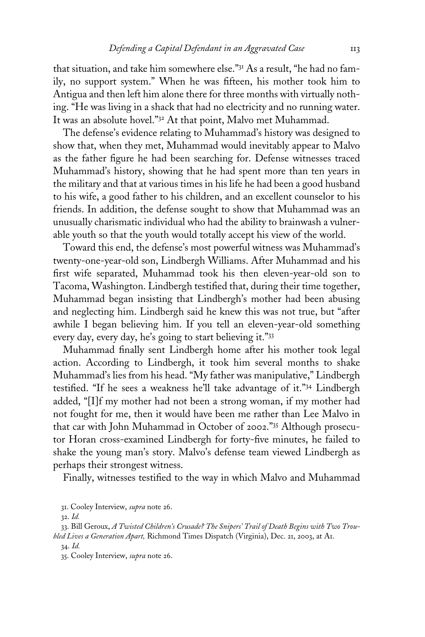that situation, and take him somewhere else."31 As a result, "he had no family, no support system." When he was fifteen, his mother took him to Antigua and then left him alone there for three months with virtually nothing. "He was living in a shack that had no electricity and no running water. It was an absolute hovel."<sup>32</sup> At that point, Malvo met Muhammad.

The defense's evidence relating to Muhammad's history was designed to show that, when they met, Muhammad would inevitably appear to Malvo as the father figure he had been searching for. Defense witnesses traced Muhammad's history, showing that he had spent more than ten years in the military and that at various times in his life he had been a good husband to his wife, a good father to his children, and an excellent counselor to his friends. In addition, the defense sought to show that Muhammad was an unusually charismatic individual who had the ability to brainwash a vulnerable youth so that the youth would totally accept his view of the world.

Toward this end, the defense's most powerful witness was Muhammad's twenty-one-year-old son, Lindbergh Williams. After Muhammad and his first wife separated, Muhammad took his then eleven-year-old son to Tacoma, Washington. Lindbergh testified that, during their time together, Muhammad began insisting that Lindbergh's mother had been abusing and neglecting him. Lindbergh said he knew this was not true, but "after awhile I began believing him. If you tell an eleven-year-old something every day, every day, he's going to start believing it."33

Muhammad finally sent Lindbergh home after his mother took legal action. According to Lindbergh, it took him several months to shake Muhammad's lies from his head. "My father was manipulative," Lindbergh testified. "If he sees a weakness he'll take advantage of it."34 Lindbergh added, "[I]f my mother had not been a strong woman, if my mother had not fought for me, then it would have been me rather than Lee Malvo in that car with John Muhammad in October of 2002."35 Although prosecutor Horan cross-examined Lindbergh for forty-five minutes, he failed to shake the young man's story. Malvo's defense team viewed Lindbergh as perhaps their strongest witness.

Finally, witnesses testified to the way in which Malvo and Muhammad

31. Cooley Interview, *supra* note 26.

32. *Id.*

35. Cooley Interview, *supra* note 26.

<sup>33.</sup> Bill Geroux, *A Twisted Children's Crusade? The Snipers' Trail of Death Begins with Two Troubled Lives a Generation Apart,* Richmond Times Dispatch (Virginia), Dec. 21, 2003, at A1.

<sup>34.</sup> *Id.*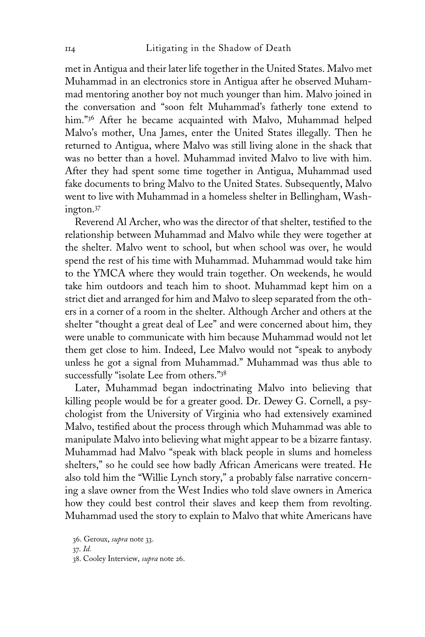met in Antigua and their later life together in the United States. Malvo met Muhammad in an electronics store in Antigua after he observed Muhammad mentoring another boy not much younger than him. Malvo joined in the conversation and "soon felt Muhammad's fatherly tone extend to him."<sup>36</sup> After he became acquainted with Malvo, Muhammad helped Malvo's mother, Una James, enter the United States illegally. Then he returned to Antigua, where Malvo was still living alone in the shack that was no better than a hovel. Muhammad invited Malvo to live with him. After they had spent some time together in Antigua, Muhammad used fake documents to bring Malvo to the United States. Subsequently, Malvo went to live with Muhammad in a homeless shelter in Bellingham, Washington.37

Reverend Al Archer, who was the director of that shelter, testified to the relationship between Muhammad and Malvo while they were together at the shelter. Malvo went to school, but when school was over, he would spend the rest of his time with Muhammad. Muhammad would take him to the YMCA where they would train together. On weekends, he would take him outdoors and teach him to shoot. Muhammad kept him on a strict diet and arranged for him and Malvo to sleep separated from the others in a corner of a room in the shelter. Although Archer and others at the shelter "thought a great deal of Lee" and were concerned about him, they were unable to communicate with him because Muhammad would not let them get close to him. Indeed, Lee Malvo would not "speak to anybody unless he got a signal from Muhammad." Muhammad was thus able to successfully "isolate Lee from others."38

Later, Muhammad began indoctrinating Malvo into believing that killing people would be for a greater good. Dr. Dewey G. Cornell, a psychologist from the University of Virginia who had extensively examined Malvo, testified about the process through which Muhammad was able to manipulate Malvo into believing what might appear to be a bizarre fantasy. Muhammad had Malvo "speak with black people in slums and homeless shelters," so he could see how badly African Americans were treated. He also told him the "Willie Lynch story," a probably false narrative concerning a slave owner from the West Indies who told slave owners in America how they could best control their slaves and keep them from revolting. Muhammad used the story to explain to Malvo that white Americans have

<sup>36.</sup> Geroux, *supra* note 33.

<sup>37.</sup> *Id.*

<sup>38.</sup> Cooley Interview, *supra* note 26.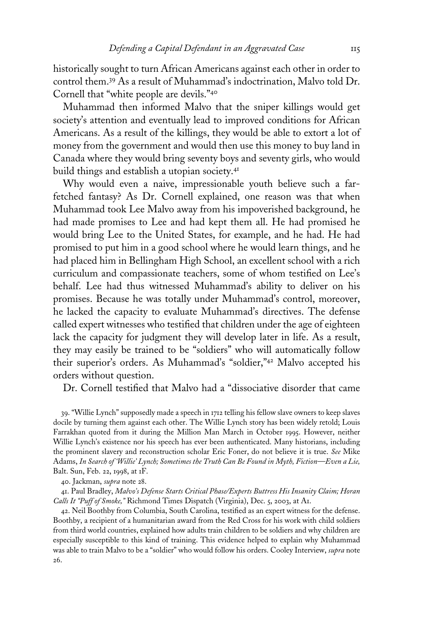historically sought to turn African Americans against each other in order to control them.<sup>39</sup> As a result of Muhammad's indoctrination, Malvo told Dr. Cornell that "white people are devils."<sup>40</sup>

Muhammad then informed Malvo that the sniper killings would get society's attention and eventually lead to improved conditions for African Americans. As a result of the killings, they would be able to extort a lot of money from the government and would then use this money to buy land in Canada where they would bring seventy boys and seventy girls, who would build things and establish a utopian society.<sup>41</sup>

Why would even a naive, impressionable youth believe such a farfetched fantasy? As Dr. Cornell explained, one reason was that when Muhammad took Lee Malvo away from his impoverished background, he had made promises to Lee and had kept them all. He had promised he would bring Lee to the United States, for example, and he had. He had promised to put him in a good school where he would learn things, and he had placed him in Bellingham High School, an excellent school with a rich curriculum and compassionate teachers, some of whom testified on Lee's behalf. Lee had thus witnessed Muhammad's ability to deliver on his promises. Because he was totally under Muhammad's control, moreover, he lacked the capacity to evaluate Muhammad's directives. The defense called expert witnesses who testified that children under the age of eighteen lack the capacity for judgment they will develop later in life. As a result, they may easily be trained to be "soldiers" who will automatically follow their superior's orders. As Muhammad's "soldier,"42 Malvo accepted his orders without question.

Dr. Cornell testified that Malvo had a "dissociative disorder that came

39. "Willie Lynch" supposedly made a speech in 1712 telling his fellow slave owners to keep slaves docile by turning them against each other. The Willie Lynch story has been widely retold; Louis Farrakhan quoted from it during the Million Man March in October 1995. However, neither Willie Lynch's existence nor his speech has ever been authenticated. Many historians, including the prominent slavery and reconstruction scholar Eric Foner, do not believe it is true. *See* Mike Adams, *In Search of 'Willie' Lynch; Sometimes the Truth Can Be Found in Myth, Fiction—Even a Lie,* Balt. Sun, Feb. 22, 1998, at 1F.

40. Jackman, *supra* note 28.

41. Paul Bradley, *Malvo's Defense Starts Critical Phase/Experts Buttress His Insanity Claim; Horan Calls It "Puff of Smoke,"* Richmond Times Dispatch (Virginia), Dec. 5, 2003, at A1.

42. Neil Boothby from Columbia, South Carolina, testified as an expert witness for the defense. Boothby, a recipient of a humanitarian award from the Red Cross for his work with child soldiers from third world countries, explained how adults train children to be soldiers and why children are especially susceptible to this kind of training. This evidence helped to explain why Muhammad was able to train Malvo to be a "soldier" who would follow his orders. Cooley Interview, *supra* note 26.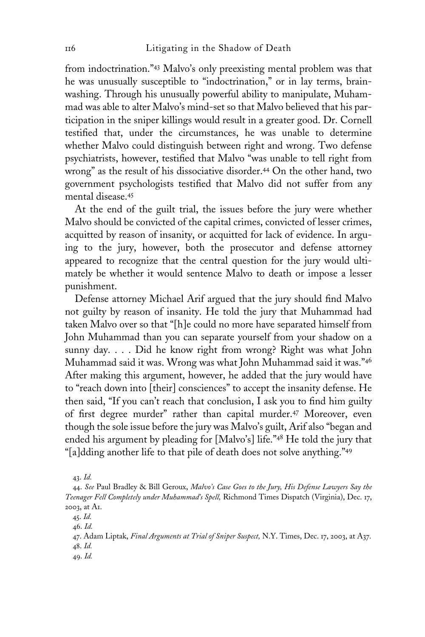from indoctrination."43 Malvo's only preexisting mental problem was that he was unusually susceptible to "indoctrination," or in lay terms, brainwashing. Through his unusually powerful ability to manipulate, Muhammad was able to alter Malvo's mind-set so that Malvo believed that his participation in the sniper killings would result in a greater good. Dr. Cornell testified that, under the circumstances, he was unable to determine whether Malvo could distinguish between right and wrong. Two defense psychiatrists, however, testified that Malvo "was unable to tell right from wrong" as the result of his dissociative disorder.<sup>44</sup> On the other hand, two government psychologists testified that Malvo did not suffer from any mental disease.45

At the end of the guilt trial, the issues before the jury were whether Malvo should be convicted of the capital crimes, convicted of lesser crimes, acquitted by reason of insanity, or acquitted for lack of evidence. In arguing to the jury, however, both the prosecutor and defense attorney appeared to recognize that the central question for the jury would ultimately be whether it would sentence Malvo to death or impose a lesser punishment.

Defense attorney Michael Arif argued that the jury should find Malvo not guilty by reason of insanity. He told the jury that Muhammad had taken Malvo over so that "[h]e could no more have separated himself from John Muhammad than you can separate yourself from your shadow on a sunny day. . . . Did he know right from wrong? Right was what John Muhammad said it was. Wrong was what John Muhammad said it was."46 After making this argument, however, he added that the jury would have to "reach down into [their] consciences" to accept the insanity defense. He then said, "If you can't reach that conclusion, I ask you to find him guilty of first degree murder" rather than capital murder.<sup>47</sup> Moreover, even though the sole issue before the jury was Malvo's guilt, Arif also "began and ended his argument by pleading for [Malvo's] life."48 He told the jury that "[a]dding another life to that pile of death does not solve anything."49

43. *Id.*

45. *Id.*

46. *Id.*

49. *Id.*

<sup>44.</sup> *See* Paul Bradley & Bill Geroux, *Malvo's Case Goes to the Jury, His Defense Lawyers Say the Teenager Fell Completely under Muhammad's Spell,* Richmond Times Dispatch (Virginia), Dec. 17, 2003, at A1.

<sup>47.</sup> Adam Liptak, *Final Arguments at Trial of Sniper Suspect,* N.Y. Times, Dec. 17, 2003, at A37. 48. *Id.*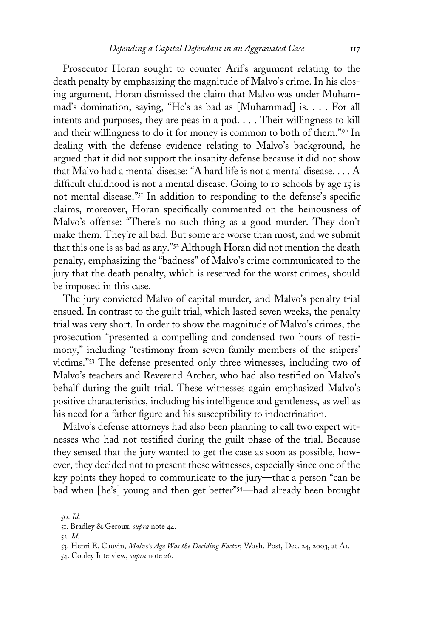Prosecutor Horan sought to counter Arif's argument relating to the death penalty by emphasizing the magnitude of Malvo's crime. In his closing argument, Horan dismissed the claim that Malvo was under Muhammad's domination, saying, "He's as bad as [Muhammad] is. . . . For all intents and purposes, they are peas in a pod. . . . Their willingness to kill and their willingness to do it for money is common to both of them."50 In dealing with the defense evidence relating to Malvo's background, he argued that it did not support the insanity defense because it did not show that Malvo had a mental disease: "A hard life is not a mental disease. . . . A difficult childhood is not a mental disease. Going to 10 schools by age 15 is not mental disease."<sup>51</sup> In addition to responding to the defense's specific claims, moreover, Horan specifically commented on the heinousness of Malvo's offense: "There's no such thing as a good murder. They don't make them. They're all bad. But some are worse than most, and we submit that this one is as bad as any."52 Although Horan did not mention the death penalty, emphasizing the "badness" of Malvo's crime communicated to the jury that the death penalty, which is reserved for the worst crimes, should be imposed in this case.

The jury convicted Malvo of capital murder, and Malvo's penalty trial ensued. In contrast to the guilt trial, which lasted seven weeks, the penalty trial was very short. In order to show the magnitude of Malvo's crimes, the prosecution "presented a compelling and condensed two hours of testimony," including "testimony from seven family members of the snipers' victims."53 The defense presented only three witnesses, including two of Malvo's teachers and Reverend Archer, who had also testified on Malvo's behalf during the guilt trial. These witnesses again emphasized Malvo's positive characteristics, including his intelligence and gentleness, as well as his need for a father figure and his susceptibility to indoctrination.

Malvo's defense attorneys had also been planning to call two expert witnesses who had not testified during the guilt phase of the trial. Because they sensed that the jury wanted to get the case as soon as possible, however, they decided not to present these witnesses, especially since one of the key points they hoped to communicate to the jury—that a person "can be bad when [he's] young and then get better"54—had already been brought

54. Cooley Interview, *supra* note 26.

<sup>50.</sup> *Id.*

<sup>51.</sup> Bradley & Geroux, *supra* note 44.

<sup>52.</sup> *Id.*

<sup>53.</sup> Henri E. Cauvin, *Malvo's Age Was the Deciding Factor,* Wash. Post, Dec. 24, 2003, at A1.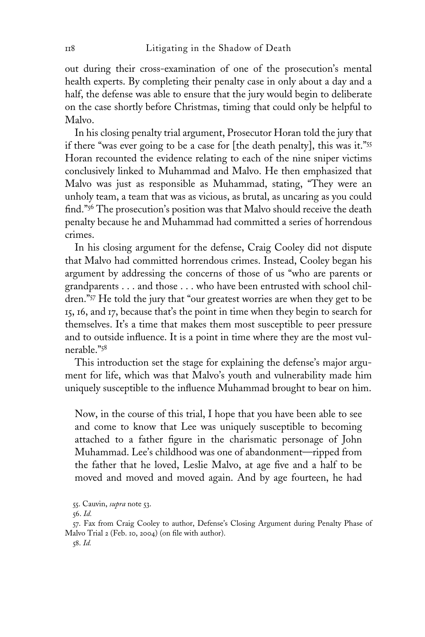out during their cross-examination of one of the prosecution's mental health experts. By completing their penalty case in only about a day and a half, the defense was able to ensure that the jury would begin to deliberate on the case shortly before Christmas, timing that could only be helpful to Malvo.

In his closing penalty trial argument, Prosecutor Horan told the jury that if there "was ever going to be a case for [the death penalty], this was it."<sup>55</sup> Horan recounted the evidence relating to each of the nine sniper victims conclusively linked to Muhammad and Malvo. He then emphasized that Malvo was just as responsible as Muhammad, stating, "They were an unholy team, a team that was as vicious, as brutal, as uncaring as you could find."<sup>56</sup> The prosecution's position was that Malvo should receive the death penalty because he and Muhammad had committed a series of horrendous crimes.

In his closing argument for the defense, Craig Cooley did not dispute that Malvo had committed horrendous crimes. Instead, Cooley began his argument by addressing the concerns of those of us "who are parents or grandparents . . . and those . . . who have been entrusted with school children."57 He told the jury that "our greatest worries are when they get to be 15, 16, and 17, because that's the point in time when they begin to search for themselves. It's a time that makes them most susceptible to peer pressure and to outside influence. It is a point in time where they are the most vulnerable."<sup>58</sup>

This introduction set the stage for explaining the defense's major argument for life, which was that Malvo's youth and vulnerability made him uniquely susceptible to the influence Muhammad brought to bear on him.

Now, in the course of this trial, I hope that you have been able to see and come to know that Lee was uniquely susceptible to becoming attached to a father figure in the charismatic personage of John Muhammad. Lee's childhood was one of abandonment—ripped from the father that he loved, Leslie Malvo, at age five and a half to be moved and moved and moved again. And by age fourteen, he had

<sup>55.</sup> Cauvin, *supra* note 53.

<sup>56.</sup> *Id.*

<sup>57.</sup> Fax from Craig Cooley to author, Defense's Closing Argument during Penalty Phase of Malvo Trial 2 (Feb. 10, 2004) (on file with author).

<sup>58.</sup> *Id.*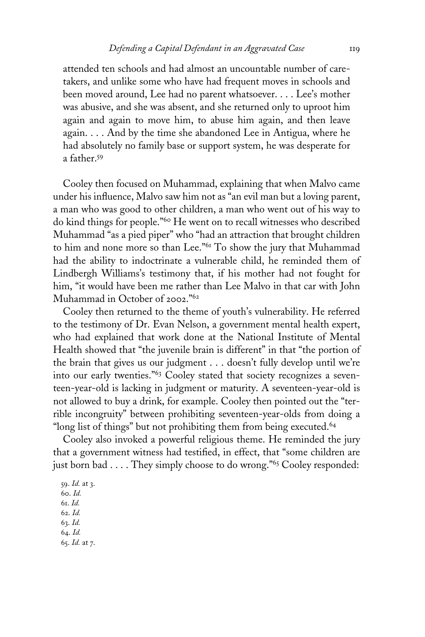attended ten schools and had almost an uncountable number of caretakers, and unlike some who have had frequent moves in schools and been moved around, Lee had no parent whatsoever. . . . Lee's mother was abusive, and she was absent, and she returned only to uproot him again and again to move him, to abuse him again, and then leave again. . . . And by the time she abandoned Lee in Antigua, where he had absolutely no family base or support system, he was desperate for a father.<sup>59</sup>

Cooley then focused on Muhammad, explaining that when Malvo came under his influence, Malvo saw him not as "an evil man but a loving parent, a man who was good to other children, a man who went out of his way to do kind things for people."60 He went on to recall witnesses who described Muhammad "as a pied piper" who "had an attraction that brought children to him and none more so than Lee."61 To show the jury that Muhammad had the ability to indoctrinate a vulnerable child, he reminded them of Lindbergh Williams's testimony that, if his mother had not fought for him, "it would have been me rather than Lee Malvo in that car with John Muhammad in October of 2002."<sup>62</sup>

Cooley then returned to the theme of youth's vulnerability. He referred to the testimony of Dr. Evan Nelson, a government mental health expert, who had explained that work done at the National Institute of Mental Health showed that "the juvenile brain is different" in that "the portion of the brain that gives us our judgment . . . doesn't fully develop until we're into our early twenties."<sup>63</sup> Cooley stated that society recognizes a seventeen-year-old is lacking in judgment or maturity. A seventeen-year-old is not allowed to buy a drink, for example. Cooley then pointed out the "terrible incongruity" between prohibiting seventeen-year-olds from doing a "long list of things" but not prohibiting them from being executed.<sup>64</sup>

Cooley also invoked a powerful religious theme. He reminded the jury that a government witness had testified, in effect, that "some children are just born bad . . . . They simply choose to do wrong."<sup>65</sup> Cooley responded:

59. *Id.* at 3. 60. *Id.* 61. *Id.* 62. *Id.* 63. *Id.* 64. *Id.* 65. *Id.* at 7.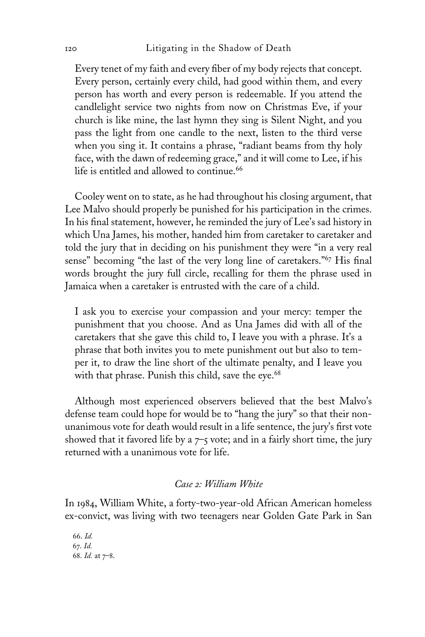Every tenet of my faith and every fiber of my body rejects that concept. Every person, certainly every child, had good within them, and every person has worth and every person is redeemable. If you attend the candlelight service two nights from now on Christmas Eve, if your church is like mine, the last hymn they sing is Silent Night, and you pass the light from one candle to the next, listen to the third verse when you sing it. It contains a phrase, "radiant beams from thy holy face, with the dawn of redeeming grace," and it will come to Lee, if his life is entitled and allowed to continue.<sup>66</sup>

Cooley went on to state, as he had throughout his closing argument, that Lee Malvo should properly be punished for his participation in the crimes. In his final statement, however, he reminded the jury of Lee's sad history in which Una James, his mother, handed him from caretaker to caretaker and told the jury that in deciding on his punishment they were "in a very real sense" becoming "the last of the very long line of caretakers."67 His final words brought the jury full circle, recalling for them the phrase used in Jamaica when a caretaker is entrusted with the care of a child.

I ask you to exercise your compassion and your mercy: temper the punishment that you choose. And as Una James did with all of the caretakers that she gave this child to, I leave you with a phrase. It's a phrase that both invites you to mete punishment out but also to temper it, to draw the line short of the ultimate penalty, and I leave you with that phrase. Punish this child, save the eye.<sup>68</sup>

Although most experienced observers believed that the best Malvo's defense team could hope for would be to "hang the jury" so that their nonunanimous vote for death would result in a life sentence, the jury's first vote showed that it favored life by a  $7-\xi$  vote; and in a fairly short time, the jury returned with a unanimous vote for life.

#### *Case 2: William White*

In 1984, William White, a forty-two-year-old African American homeless ex-convict, was living with two teenagers near Golden Gate Park in San

66. *Id.* 67. *Id.* 68. *Id.* at 7–8.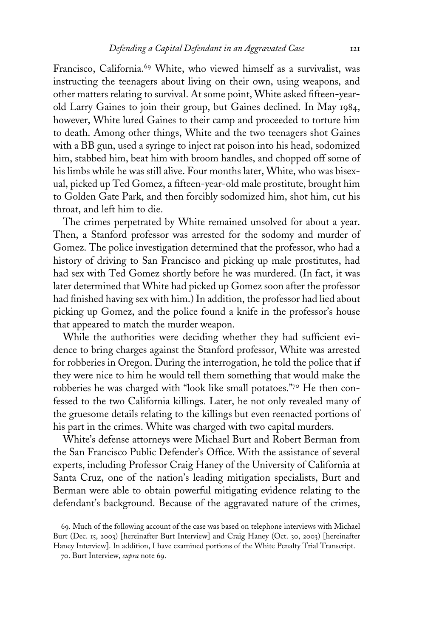Francisco, California.<sup>69</sup> White, who viewed himself as a survivalist, was instructing the teenagers about living on their own, using weapons, and other matters relating to survival. At some point, White asked fifteen-yearold Larry Gaines to join their group, but Gaines declined. In May 1984, however, White lured Gaines to their camp and proceeded to torture him to death. Among other things, White and the two teenagers shot Gaines with a BB gun, used a syringe to inject rat poison into his head, sodomized him, stabbed him, beat him with broom handles, and chopped off some of his limbs while he was still alive. Four months later, White, who was bisexual, picked up Ted Gomez, a fifteen-year-old male prostitute, brought him to Golden Gate Park, and then forcibly sodomized him, shot him, cut his throat, and left him to die.

The crimes perpetrated by White remained unsolved for about a year. Then, a Stanford professor was arrested for the sodomy and murder of Gomez. The police investigation determined that the professor, who had a history of driving to San Francisco and picking up male prostitutes, had had sex with Ted Gomez shortly before he was murdered. (In fact, it was later determined that White had picked up Gomez soon after the professor had finished having sex with him.) In addition, the professor had lied about picking up Gomez, and the police found a knife in the professor's house that appeared to match the murder weapon.

While the authorities were deciding whether they had sufficient evidence to bring charges against the Stanford professor, White was arrested for robberies in Oregon. During the interrogation, he told the police that if they were nice to him he would tell them something that would make the robberies he was charged with "look like small potatoes."<sup>70</sup> He then confessed to the two California killings. Later, he not only revealed many of the gruesome details relating to the killings but even reenacted portions of his part in the crimes. White was charged with two capital murders.

White's defense attorneys were Michael Burt and Robert Berman from the San Francisco Public Defender's Office. With the assistance of several experts, including Professor Craig Haney of the University of California at Santa Cruz, one of the nation's leading mitigation specialists, Burt and Berman were able to obtain powerful mitigating evidence relating to the defendant's background. Because of the aggravated nature of the crimes,

<sup>69.</sup> Much of the following account of the case was based on telephone interviews with Michael Burt (Dec. 15, 2003) [hereinafter Burt Interview] and Craig Haney (Oct. 30, 2003) [hereinafter Haney Interview]. In addition, I have examined portions of the White Penalty Trial Transcript.

<sup>70.</sup> Burt Interview, *supra* note 69.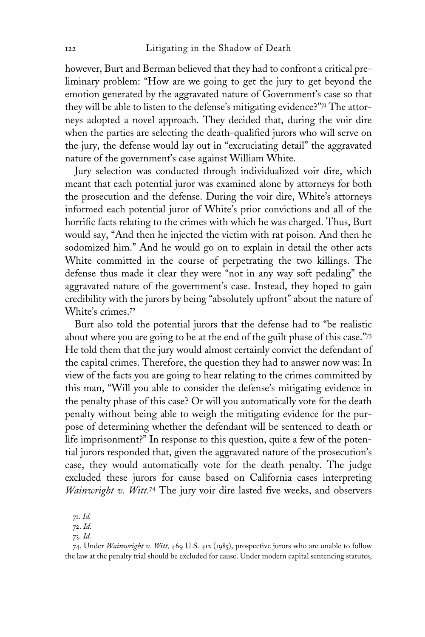however, Burt and Berman believed that they had to confront a critical preliminary problem: "How are we going to get the jury to get beyond the emotion generated by the aggravated nature of Government's case so that they will be able to listen to the defense's mitigating evidence?"71 The attorneys adopted a novel approach. They decided that, during the voir dire when the parties are selecting the death-qualified jurors who will serve on the jury, the defense would lay out in "excruciating detail" the aggravated nature of the government's case against William White.

Jury selection was conducted through individualized voir dire, which meant that each potential juror was examined alone by attorneys for both the prosecution and the defense. During the voir dire, White's attorneys informed each potential juror of White's prior convictions and all of the horrific facts relating to the crimes with which he was charged. Thus, Burt would say, "And then he injected the victim with rat poison. And then he sodomized him." And he would go on to explain in detail the other acts White committed in the course of perpetrating the two killings. The defense thus made it clear they were "not in any way soft pedaling" the aggravated nature of the government's case. Instead, they hoped to gain credibility with the jurors by being "absolutely upfront" about the nature of White's crimes.72

Burt also told the potential jurors that the defense had to "be realistic about where you are going to be at the end of the guilt phase of this case."73 He told them that the jury would almost certainly convict the defendant of the capital crimes. Therefore, the question they had to answer now was: In view of the facts you are going to hear relating to the crimes committed by this man, "Will you able to consider the defense's mitigating evidence in the penalty phase of this case? Or will you automatically vote for the death penalty without being able to weigh the mitigating evidence for the purpose of determining whether the defendant will be sentenced to death or life imprisonment?" In response to this question, quite a few of the potential jurors responded that, given the aggravated nature of the prosecution's case, they would automatically vote for the death penalty. The judge excluded these jurors for cause based on California cases interpreting *Wainwright v. Witt.*74 The jury voir dire lasted five weeks, and observers

<sup>71.</sup> *Id.*

<sup>72.</sup> *Id.*

<sup>73.</sup> *Id.*

<sup>74.</sup> Under *Wainwright v. Witt,* 469 U.S. 412 (1985), prospective jurors who are unable to follow the law at the penalty trial should be excluded for cause. Under modern capital sentencing statutes,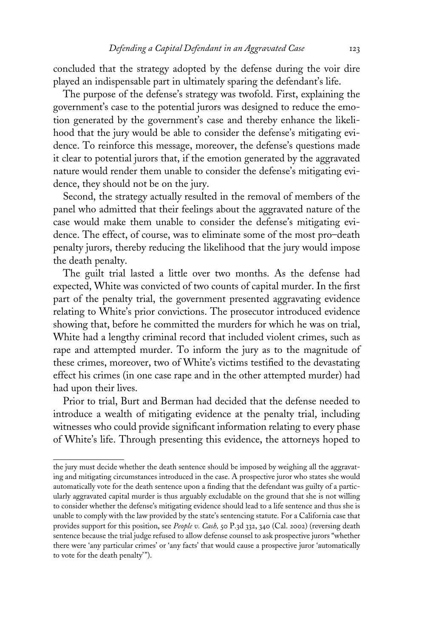concluded that the strategy adopted by the defense during the voir dire played an indispensable part in ultimately sparing the defendant's life.

The purpose of the defense's strategy was twofold. First, explaining the government's case to the potential jurors was designed to reduce the emotion generated by the government's case and thereby enhance the likelihood that the jury would be able to consider the defense's mitigating evidence. To reinforce this message, moreover, the defense's questions made it clear to potential jurors that, if the emotion generated by the aggravated nature would render them unable to consider the defense's mitigating evidence, they should not be on the jury.

Second, the strategy actually resulted in the removal of members of the panel who admitted that their feelings about the aggravated nature of the case would make them unable to consider the defense's mitigating evidence. The effect, of course, was to eliminate some of the most pro–death penalty jurors, thereby reducing the likelihood that the jury would impose the death penalty.

The guilt trial lasted a little over two months. As the defense had expected, White was convicted of two counts of capital murder. In the first part of the penalty trial, the government presented aggravating evidence relating to White's prior convictions. The prosecutor introduced evidence showing that, before he committed the murders for which he was on trial, White had a lengthy criminal record that included violent crimes, such as rape and attempted murder. To inform the jury as to the magnitude of these crimes, moreover, two of White's victims testified to the devastating effect his crimes (in one case rape and in the other attempted murder) had had upon their lives.

Prior to trial, Burt and Berman had decided that the defense needed to introduce a wealth of mitigating evidence at the penalty trial, including witnesses who could provide significant information relating to every phase of White's life. Through presenting this evidence, the attorneys hoped to

the jury must decide whether the death sentence should be imposed by weighing all the aggravating and mitigating circumstances introduced in the case. A prospective juror who states she would automatically vote for the death sentence upon a finding that the defendant was guilty of a particularly aggravated capital murder is thus arguably excludable on the ground that she is not willing to consider whether the defense's mitigating evidence should lead to a life sentence and thus she is unable to comply with the law provided by the state's sentencing statute. For a California case that provides support for this position, see *People v. Cash,* 50 P.3d 332, 340 (Cal. 2002) (reversing death sentence because the trial judge refused to allow defense counsel to ask prospective jurors "whether there were 'any particular crimes' or 'any facts' that would cause a prospective juror 'automatically to vote for the death penalty'").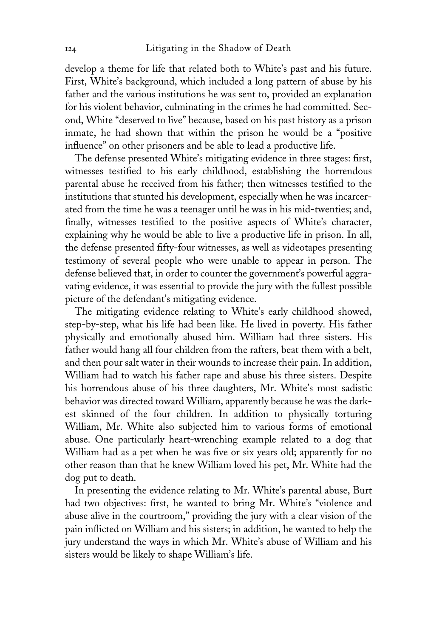develop a theme for life that related both to White's past and his future. First, White's background, which included a long pattern of abuse by his father and the various institutions he was sent to, provided an explanation for his violent behavior, culminating in the crimes he had committed. Second, White "deserved to live" because, based on his past history as a prison inmate, he had shown that within the prison he would be a "positive influence" on other prisoners and be able to lead a productive life.

The defense presented White's mitigating evidence in three stages: first, witnesses testified to his early childhood, establishing the horrendous parental abuse he received from his father; then witnesses testified to the institutions that stunted his development, especially when he was incarcerated from the time he was a teenager until he was in his mid-twenties; and, finally, witnesses testified to the positive aspects of White's character, explaining why he would be able to live a productive life in prison. In all, the defense presented fifty-four witnesses, as well as videotapes presenting testimony of several people who were unable to appear in person. The defense believed that, in order to counter the government's powerful aggravating evidence, it was essential to provide the jury with the fullest possible picture of the defendant's mitigating evidence.

The mitigating evidence relating to White's early childhood showed, step-by-step, what his life had been like. He lived in poverty. His father physically and emotionally abused him. William had three sisters. His father would hang all four children from the rafters, beat them with a belt, and then pour salt water in their wounds to increase their pain. In addition, William had to watch his father rape and abuse his three sisters. Despite his horrendous abuse of his three daughters, Mr. White's most sadistic behavior was directed toward William, apparently because he was the darkest skinned of the four children. In addition to physically torturing William, Mr. White also subjected him to various forms of emotional abuse. One particularly heart-wrenching example related to a dog that William had as a pet when he was five or six years old; apparently for no other reason than that he knew William loved his pet, Mr. White had the dog put to death.

In presenting the evidence relating to Mr. White's parental abuse, Burt had two objectives: first, he wanted to bring Mr. White's "violence and abuse alive in the courtroom," providing the jury with a clear vision of the pain inflicted on William and his sisters; in addition, he wanted to help the jury understand the ways in which Mr. White's abuse of William and his sisters would be likely to shape William's life.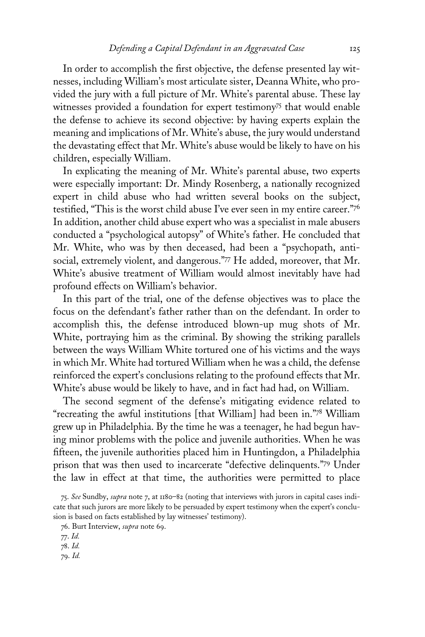In order to accomplish the first objective, the defense presented lay witnesses, including William's most articulate sister, Deanna White, who provided the jury with a full picture of Mr. White's parental abuse. These lay witnesses provided a foundation for expert testimony<sup>75</sup> that would enable the defense to achieve its second objective: by having experts explain the meaning and implications of Mr. White's abuse, the jury would understand the devastating effect that Mr. White's abuse would be likely to have on his children, especially William.

In explicating the meaning of Mr. White's parental abuse, two experts were especially important: Dr. Mindy Rosenberg, a nationally recognized expert in child abuse who had written several books on the subject, testified, "This is the worst child abuse I've ever seen in my entire career."76 In addition, another child abuse expert who was a specialist in male abusers conducted a "psychological autopsy" of White's father. He concluded that Mr. White, who was by then deceased, had been a "psychopath, antisocial, extremely violent, and dangerous."77 He added, moreover, that Mr. White's abusive treatment of William would almost inevitably have had profound effects on William's behavior.

In this part of the trial, one of the defense objectives was to place the focus on the defendant's father rather than on the defendant. In order to accomplish this, the defense introduced blown-up mug shots of Mr. White, portraying him as the criminal. By showing the striking parallels between the ways William White tortured one of his victims and the ways in which Mr. White had tortured William when he was a child, the defense reinforced the expert's conclusions relating to the profound effects that Mr. White's abuse would be likely to have, and in fact had had, on William.

The second segment of the defense's mitigating evidence related to "recreating the awful institutions [that William] had been in."78 William grew up in Philadelphia. By the time he was a teenager, he had begun having minor problems with the police and juvenile authorities. When he was fifteen, the juvenile authorities placed him in Huntingdon, a Philadelphia prison that was then used to incarcerate "defective delinquents."79 Under the law in effect at that time, the authorities were permitted to place

79. *Id.*

<sup>75.</sup> *See* Sundby, *supra* note 7, at 1180–82 (noting that interviews with jurors in capital cases indicate that such jurors are more likely to be persuaded by expert testimony when the expert's conclusion is based on facts established by lay witnesses' testimony).

<sup>76.</sup> Burt Interview, *supra* note 69.

<sup>77.</sup> *Id.*

<sup>78.</sup> *Id.*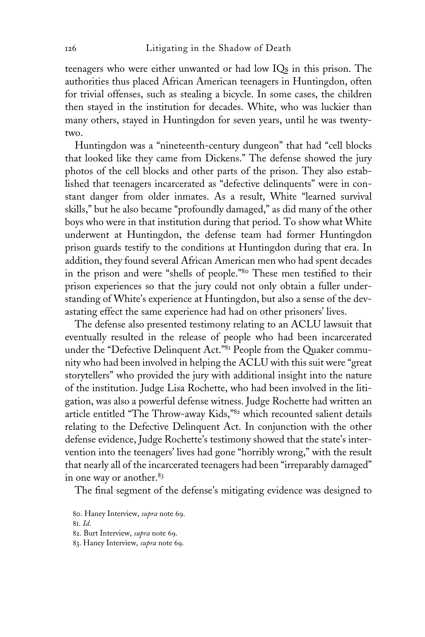teenagers who were either unwanted or had low IQs in this prison. The authorities thus placed African American teenagers in Huntingdon, often for trivial offenses, such as stealing a bicycle. In some cases, the children then stayed in the institution for decades. White, who was luckier than many others, stayed in Huntingdon for seven years, until he was twentytwo.

Huntingdon was a "nineteenth-century dungeon" that had "cell blocks that looked like they came from Dickens." The defense showed the jury photos of the cell blocks and other parts of the prison. They also established that teenagers incarcerated as "defective delinquents" were in constant danger from older inmates. As a result, White "learned survival skills," but he also became "profoundly damaged," as did many of the other boys who were in that institution during that period. To show what White underwent at Huntingdon, the defense team had former Huntingdon prison guards testify to the conditions at Huntingdon during that era. In addition, they found several African American men who had spent decades in the prison and were "shells of people."<sup>80</sup> These men testified to their prison experiences so that the jury could not only obtain a fuller understanding of White's experience at Huntingdon, but also a sense of the devastating effect the same experience had had on other prisoners' lives.

The defense also presented testimony relating to an ACLU lawsuit that eventually resulted in the release of people who had been incarcerated under the "Defective Delinquent Act."<sup>81</sup> People from the Quaker community who had been involved in helping the ACLU with this suit were "great storytellers" who provided the jury with additional insight into the nature of the institution. Judge Lisa Rochette, who had been involved in the litigation, was also a powerful defense witness. Judge Rochette had written an article entitled "The Throw-away Kids,"<sup>82</sup> which recounted salient details relating to the Defective Delinquent Act. In conjunction with the other defense evidence, Judge Rochette's testimony showed that the state's intervention into the teenagers' lives had gone "horribly wrong," with the result that nearly all of the incarcerated teenagers had been "irreparably damaged" in one way or another.<sup>83</sup>

The final segment of the defense's mitigating evidence was designed to

<sup>80.</sup> Haney Interview, *supra* note 69.

<sup>81.</sup> *Id.*

<sup>82.</sup> Burt Interview, *supra* note 69.

<sup>83.</sup> Haney Interview, *supra* note 69.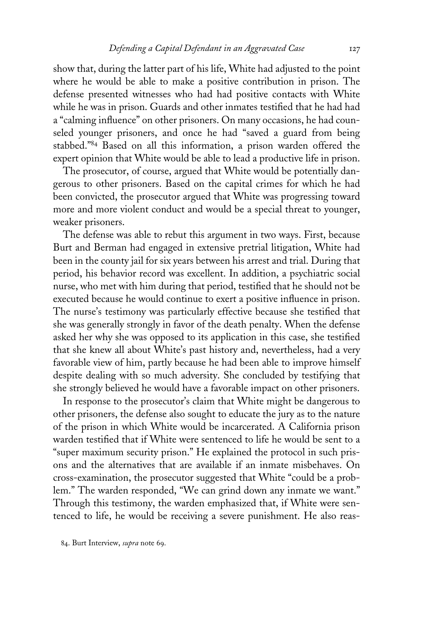show that, during the latter part of his life, White had adjusted to the point where he would be able to make a positive contribution in prison. The defense presented witnesses who had had positive contacts with White while he was in prison. Guards and other inmates testified that he had had a "calming influence" on other prisoners. On many occasions, he had counseled younger prisoners, and once he had "saved a guard from being stabbed."84 Based on all this information, a prison warden offered the expert opinion that White would be able to lead a productive life in prison.

The prosecutor, of course, argued that White would be potentially dangerous to other prisoners. Based on the capital crimes for which he had been convicted, the prosecutor argued that White was progressing toward more and more violent conduct and would be a special threat to younger, weaker prisoners.

The defense was able to rebut this argument in two ways. First, because Burt and Berman had engaged in extensive pretrial litigation, White had been in the county jail for six years between his arrest and trial. During that period, his behavior record was excellent. In addition, a psychiatric social nurse, who met with him during that period, testified that he should not be executed because he would continue to exert a positive influence in prison. The nurse's testimony was particularly effective because she testified that she was generally strongly in favor of the death penalty. When the defense asked her why she was opposed to its application in this case, she testified that she knew all about White's past history and, nevertheless, had a very favorable view of him, partly because he had been able to improve himself despite dealing with so much adversity. She concluded by testifying that she strongly believed he would have a favorable impact on other prisoners.

In response to the prosecutor's claim that White might be dangerous to other prisoners, the defense also sought to educate the jury as to the nature of the prison in which White would be incarcerated. A California prison warden testified that if White were sentenced to life he would be sent to a "super maximum security prison." He explained the protocol in such prisons and the alternatives that are available if an inmate misbehaves. On cross-examination, the prosecutor suggested that White "could be a problem." The warden responded, "We can grind down any inmate we want." Through this testimony, the warden emphasized that, if White were sentenced to life, he would be receiving a severe punishment. He also reas-

84. Burt Interview, *supra* note 69.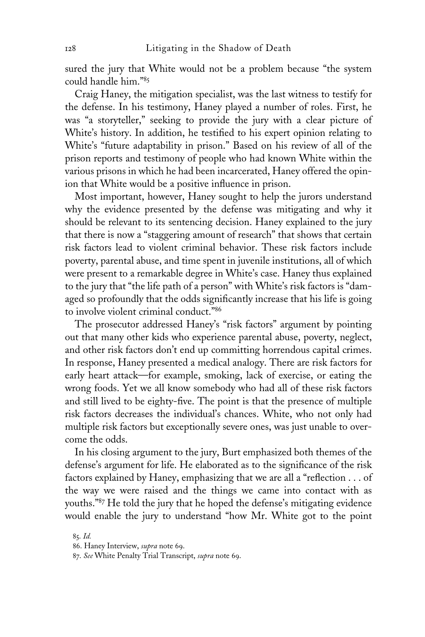sured the jury that White would not be a problem because "the system could handle him."85

Craig Haney, the mitigation specialist, was the last witness to testify for the defense. In his testimony, Haney played a number of roles. First, he was "a storyteller," seeking to provide the jury with a clear picture of White's history. In addition, he testified to his expert opinion relating to White's "future adaptability in prison." Based on his review of all of the prison reports and testimony of people who had known White within the various prisons in which he had been incarcerated, Haney offered the opinion that White would be a positive influence in prison.

Most important, however, Haney sought to help the jurors understand why the evidence presented by the defense was mitigating and why it should be relevant to its sentencing decision. Haney explained to the jury that there is now a "staggering amount of research" that shows that certain risk factors lead to violent criminal behavior. These risk factors include poverty, parental abuse, and time spent in juvenile institutions, all of which were present to a remarkable degree in White's case. Haney thus explained to the jury that "the life path of a person" with White's risk factors is "damaged so profoundly that the odds significantly increase that his life is going to involve violent criminal conduct."86

The prosecutor addressed Haney's "risk factors" argument by pointing out that many other kids who experience parental abuse, poverty, neglect, and other risk factors don't end up committing horrendous capital crimes. In response, Haney presented a medical analogy. There are risk factors for early heart attack—for example, smoking, lack of exercise, or eating the wrong foods. Yet we all know somebody who had all of these risk factors and still lived to be eighty-five. The point is that the presence of multiple risk factors decreases the individual's chances. White, who not only had multiple risk factors but exceptionally severe ones, was just unable to overcome the odds.

In his closing argument to the jury, Burt emphasized both themes of the defense's argument for life. He elaborated as to the significance of the risk factors explained by Haney, emphasizing that we are all a "reflection  $\dots$  of the way we were raised and the things we came into contact with as youths."<sup>87</sup> He told the jury that he hoped the defense's mitigating evidence would enable the jury to understand "how Mr. White got to the point

<sup>85.</sup> *Id.*

<sup>86.</sup> Haney Interview, *supra* note 69.

<sup>87.</sup> *See* White Penalty Trial Transcript, *supra* note 69.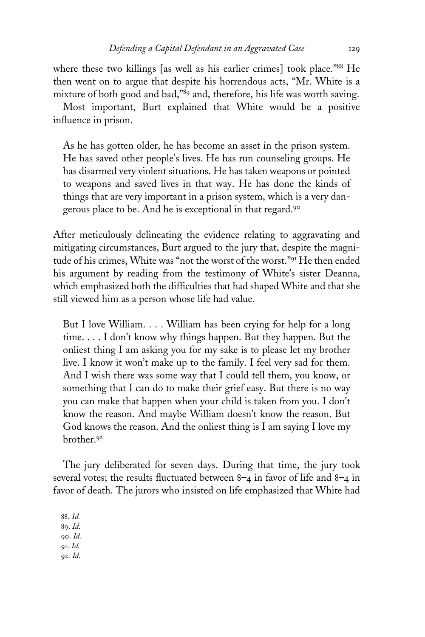where these two killings [as well as his earlier crimes] took place."<sup>88</sup> He then went on to argue that despite his horrendous acts, "Mr. White is a mixture of both good and bad,"<sup>89</sup> and, therefore, his life was worth saving.

Most important, Burt explained that White would be a positive influence in prison.

As he has gotten older, he has become an asset in the prison system. He has saved other people's lives. He has run counseling groups. He has disarmed very violent situations. He has taken weapons or pointed to weapons and saved lives in that way. He has done the kinds of things that are very important in a prison system, which is a very dangerous place to be. And he is exceptional in that regard.90

After meticulously delineating the evidence relating to aggravating and mitigating circumstances, Burt argued to the jury that, despite the magnitude of his crimes, White was "not the worst of the worst."<sup>91</sup> He then ended his argument by reading from the testimony of White's sister Deanna, which emphasized both the difficulties that had shaped White and that she still viewed him as a person whose life had value.

But I love William. . . . William has been crying for help for a long time. . . . I don't know why things happen. But they happen. But the onliest thing I am asking you for my sake is to please let my brother live. I know it won't make up to the family. I feel very sad for them. And I wish there was some way that I could tell them, you know, or something that I can do to make their grief easy. But there is no way you can make that happen when your child is taken from you. I don't know the reason. And maybe William doesn't know the reason. But God knows the reason. And the onliest thing is I am saying I love my brother.<sup>92</sup>

The jury deliberated for seven days. During that time, the jury took several votes; the results fluctuated between  $8-4$  in favor of life and  $8-4$  in favor of death. The jurors who insisted on life emphasized that White had

88. *Id.* 89. *Id.* 90. *Id.* 91. *Id.* 92. *Id.*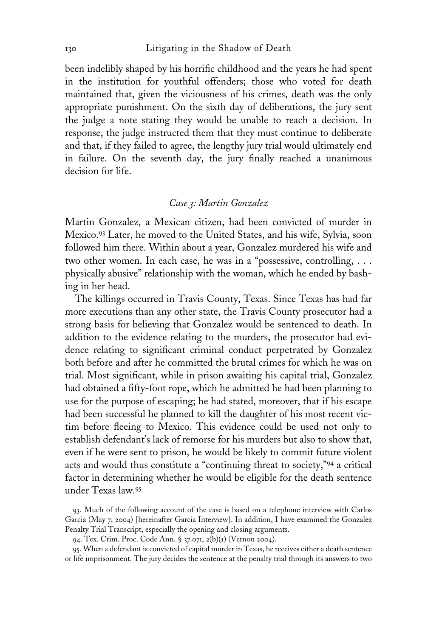been indelibly shaped by his horrific childhood and the years he had spent in the institution for youthful offenders; those who voted for death maintained that, given the viciousness of his crimes, death was the only appropriate punishment. On the sixth day of deliberations, the jury sent the judge a note stating they would be unable to reach a decision. In response, the judge instructed them that they must continue to deliberate and that, if they failed to agree, the lengthy jury trial would ultimately end in failure. On the seventh day, the jury finally reached a unanimous decision for life.

#### *Case 3: Martin Gonzalez*

Martin Gonzalez, a Mexican citizen, had been convicted of murder in Mexico.93 Later, he moved to the United States, and his wife, Sylvia, soon followed him there. Within about a year, Gonzalez murdered his wife and two other women. In each case, he was in a "possessive, controlling, . . . physically abusive" relationship with the woman, which he ended by bashing in her head.

The killings occurred in Travis County, Texas. Since Texas has had far more executions than any other state, the Travis County prosecutor had a strong basis for believing that Gonzalez would be sentenced to death. In addition to the evidence relating to the murders, the prosecutor had evidence relating to significant criminal conduct perpetrated by Gonzalez both before and after he committed the brutal crimes for which he was on trial. Most significant, while in prison awaiting his capital trial, Gonzalez had obtained a fifty-foot rope, which he admitted he had been planning to use for the purpose of escaping; he had stated, moreover, that if his escape had been successful he planned to kill the daughter of his most recent victim before fleeing to Mexico. This evidence could be used not only to establish defendant's lack of remorse for his murders but also to show that, even if he were sent to prison, he would be likely to commit future violent acts and would thus constitute a "continuing threat to society,"94 a critical factor in determining whether he would be eligible for the death sentence under Texas law.95

<sup>93.</sup> Much of the following account of the case is based on a telephone interview with Carlos Garcia (May 7, 2004) [hereinafter Garcia Interview]. In addition, I have examined the Gonzalez Penalty Trial Transcript, especially the opening and closing arguments.

<sup>94.</sup> Tex. Crim. Proc. Code Ann. § 37.071, 2(b)(1) (Vernon 2004).

<sup>95.</sup> When a defendant is convicted of capital murder in Texas, he receives either a death sentence or life imprisonment. The jury decides the sentence at the penalty trial through its answers to two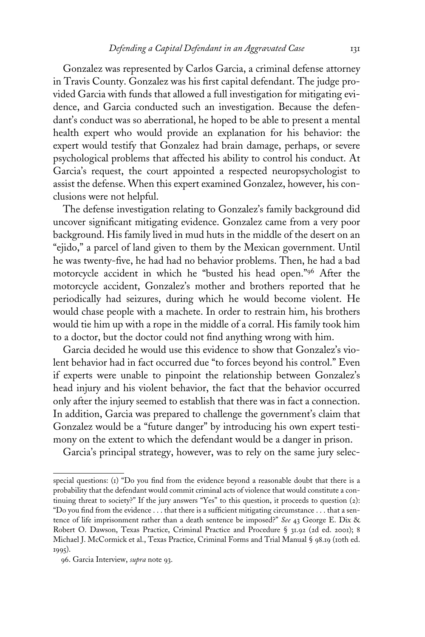Gonzalez was represented by Carlos Garcia, a criminal defense attorney in Travis County. Gonzalez was his first capital defendant. The judge provided Garcia with funds that allowed a full investigation for mitigating evidence, and Garcia conducted such an investigation. Because the defendant's conduct was so aberrational, he hoped to be able to present a mental health expert who would provide an explanation for his behavior: the expert would testify that Gonzalez had brain damage, perhaps, or severe psychological problems that affected his ability to control his conduct. At Garcia's request, the court appointed a respected neuropsychologist to assist the defense. When this expert examined Gonzalez, however, his conclusions were not helpful.

The defense investigation relating to Gonzalez's family background did uncover significant mitigating evidence. Gonzalez came from a very poor background. His family lived in mud huts in the middle of the desert on an "ejido," a parcel of land given to them by the Mexican government. Until he was twenty-five, he had had no behavior problems. Then, he had a bad motorcycle accident in which he "busted his head open."96 After the motorcycle accident, Gonzalez's mother and brothers reported that he periodically had seizures, during which he would become violent. He would chase people with a machete. In order to restrain him, his brothers would tie him up with a rope in the middle of a corral. His family took him to a doctor, but the doctor could not find anything wrong with him.

Garcia decided he would use this evidence to show that Gonzalez's violent behavior had in fact occurred due "to forces beyond his control." Even if experts were unable to pinpoint the relationship between Gonzalez's head injury and his violent behavior, the fact that the behavior occurred only after the injury seemed to establish that there was in fact a connection. In addition, Garcia was prepared to challenge the government's claim that Gonzalez would be a "future danger" by introducing his own expert testimony on the extent to which the defendant would be a danger in prison.

Garcia's principal strategy, however, was to rely on the same jury selec-

special questions: ( $I$ ) "Do you find from the evidence beyond a reasonable doubt that there is a probability that the defendant would commit criminal acts of violence that would constitute a continuing threat to society?" If the jury answers "Yes" to this question, it proceeds to question (2): "Do you find from the evidence . . . that there is a sufficient mitigating circumstance . . . that a sentence of life imprisonment rather than a death sentence be imposed?" *See* 43 George E. Dix & Robert O. Dawson, Texas Practice, Criminal Practice and Procedure § 31.92 (2d ed. 2001); 8 Michael J. McCormick et al., Texas Practice, Criminal Forms and Trial Manual § 98.19 (10th ed. 1995).

<sup>96.</sup> Garcia Interview, *supra* note 93.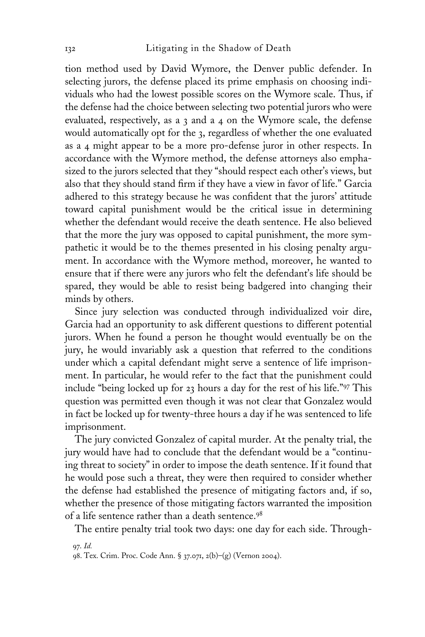tion method used by David Wymore, the Denver public defender. In selecting jurors, the defense placed its prime emphasis on choosing individuals who had the lowest possible scores on the Wymore scale. Thus, if the defense had the choice between selecting two potential jurors who were evaluated, respectively, as a 3 and a 4 on the Wymore scale, the defense would automatically opt for the 3, regardless of whether the one evaluated as a 4 might appear to be a more pro-defense juror in other respects. In accordance with the Wymore method, the defense attorneys also emphasized to the jurors selected that they "should respect each other's views, but also that they should stand firm if they have a view in favor of life." Garcia adhered to this strategy because he was confident that the jurors' attitude toward capital punishment would be the critical issue in determining whether the defendant would receive the death sentence. He also believed that the more the jury was opposed to capital punishment, the more sympathetic it would be to the themes presented in his closing penalty argument. In accordance with the Wymore method, moreover, he wanted to ensure that if there were any jurors who felt the defendant's life should be spared, they would be able to resist being badgered into changing their minds by others.

Since jury selection was conducted through individualized voir dire, Garcia had an opportunity to ask different questions to different potential jurors. When he found a person he thought would eventually be on the jury, he would invariably ask a question that referred to the conditions under which a capital defendant might serve a sentence of life imprisonment. In particular, he would refer to the fact that the punishment could include "being locked up for 23 hours a day for the rest of his life."97 This question was permitted even though it was not clear that Gonzalez would in fact be locked up for twenty-three hours a day if he was sentenced to life imprisonment.

The jury convicted Gonzalez of capital murder. At the penalty trial, the jury would have had to conclude that the defendant would be a "continuing threat to society" in order to impose the death sentence. If it found that he would pose such a threat, they were then required to consider whether the defense had established the presence of mitigating factors and, if so, whether the presence of those mitigating factors warranted the imposition of a life sentence rather than a death sentence.<sup>98</sup>

The entire penalty trial took two days: one day for each side. Through-

97. *Id.* 98. Tex. Crim. Proc. Code Ann. § 37.071, 2(b)–(g) (Vernon 2004).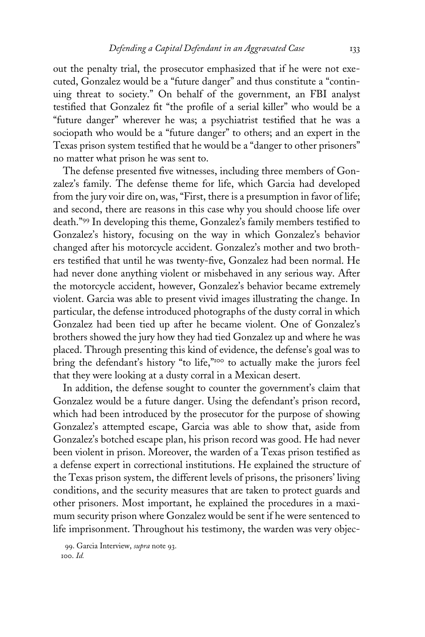out the penalty trial, the prosecutor emphasized that if he were not executed, Gonzalez would be a "future danger" and thus constitute a "continuing threat to society." On behalf of the government, an FBI analyst testified that Gonzalez fit "the profile of a serial killer" who would be a "future danger" wherever he was; a psychiatrist testified that he was a sociopath who would be a "future danger" to others; and an expert in the Texas prison system testified that he would be a "danger to other prisoners" no matter what prison he was sent to.

The defense presented five witnesses, including three members of Gonzalez's family. The defense theme for life, which Garcia had developed from the jury voir dire on, was, "First, there is a presumption in favor of life; and second, there are reasons in this case why you should choose life over death."99 In developing this theme, Gonzalez's family members testified to Gonzalez's history, focusing on the way in which Gonzalez's behavior changed after his motorcycle accident. Gonzalez's mother and two brothers testified that until he was twenty-five, Gonzalez had been normal. He had never done anything violent or misbehaved in any serious way. After the motorcycle accident, however, Gonzalez's behavior became extremely violent. Garcia was able to present vivid images illustrating the change. In particular, the defense introduced photographs of the dusty corral in which Gonzalez had been tied up after he became violent. One of Gonzalez's brothers showed the jury how they had tied Gonzalez up and where he was placed. Through presenting this kind of evidence, the defense's goal was to bring the defendant's history "to life,"<sup>100</sup> to actually make the jurors feel that they were looking at a dusty corral in a Mexican desert.

In addition, the defense sought to counter the government's claim that Gonzalez would be a future danger. Using the defendant's prison record, which had been introduced by the prosecutor for the purpose of showing Gonzalez's attempted escape, Garcia was able to show that, aside from Gonzalez's botched escape plan, his prison record was good. He had never been violent in prison. Moreover, the warden of a Texas prison testified as a defense expert in correctional institutions. He explained the structure of the Texas prison system, the different levels of prisons, the prisoners' living conditions, and the security measures that are taken to protect guards and other prisoners. Most important, he explained the procedures in a maximum security prison where Gonzalez would be sent if he were sentenced to life imprisonment. Throughout his testimony, the warden was very objec-

99. Garcia Interview, *supra* note 93. 100. *Id.*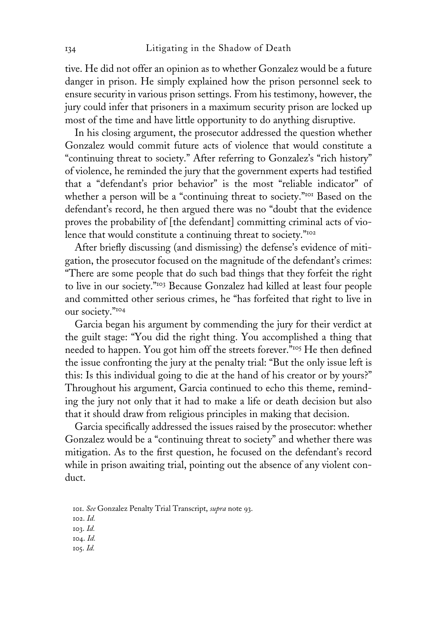tive. He did not offer an opinion as to whether Gonzalez would be a future danger in prison. He simply explained how the prison personnel seek to ensure security in various prison settings. From his testimony, however, the jury could infer that prisoners in a maximum security prison are locked up most of the time and have little opportunity to do anything disruptive.

In his closing argument, the prosecutor addressed the question whether Gonzalez would commit future acts of violence that would constitute a "continuing threat to society." After referring to Gonzalez's "rich history" of violence, he reminded the jury that the government experts had testified that a "defendant's prior behavior" is the most "reliable indicator" of whether a person will be a "continuing threat to society."<sup>101</sup> Based on the defendant's record, he then argued there was no "doubt that the evidence proves the probability of [the defendant] committing criminal acts of violence that would constitute a continuing threat to society."<sup>102</sup>

After briefly discussing (and dismissing) the defense's evidence of mitigation, the prosecutor focused on the magnitude of the defendant's crimes: "There are some people that do such bad things that they forfeit the right to live in our society."103 Because Gonzalez had killed at least four people and committed other serious crimes, he "has forfeited that right to live in our society."<sup>104</sup>

Garcia began his argument by commending the jury for their verdict at the guilt stage: "You did the right thing. You accomplished a thing that needed to happen. You got him off the streets forever."<sup>105</sup> He then defined the issue confronting the jury at the penalty trial: "But the only issue left is this: Is this individual going to die at the hand of his creator or by yours?" Throughout his argument, Garcia continued to echo this theme, reminding the jury not only that it had to make a life or death decision but also that it should draw from religious principles in making that decision.

Garcia specifically addressed the issues raised by the prosecutor: whether Gonzalez would be a "continuing threat to society" and whether there was mitigation. As to the first question, he focused on the defendant's record while in prison awaiting trial, pointing out the absence of any violent conduct.

105. *Id.*

<sup>101.</sup> *See* Gonzalez Penalty Trial Transcript, *supra* note 93.

<sup>102.</sup> *Id.*

<sup>103.</sup> *Id.*

<sup>104.</sup> *Id.*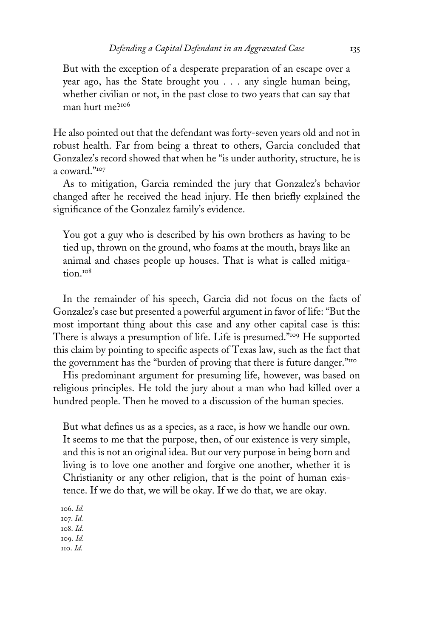But with the exception of a desperate preparation of an escape over a year ago, has the State brought you . . . any single human being, whether civilian or not, in the past close to two years that can say that man hurt me?<sup>106</sup>

He also pointed out that the defendant was forty-seven years old and not in robust health. Far from being a threat to others, Garcia concluded that Gonzalez's record showed that when he "is under authority, structure, he is a coward."<sup>107</sup>

As to mitigation, Garcia reminded the jury that Gonzalez's behavior changed after he received the head injury. He then briefly explained the significance of the Gonzalez family's evidence.

You got a guy who is described by his own brothers as having to be tied up, thrown on the ground, who foams at the mouth, brays like an animal and chases people up houses. That is what is called mitigation.<sup>108</sup>

In the remainder of his speech, Garcia did not focus on the facts of Gonzalez's case but presented a powerful argument in favor of life: "But the most important thing about this case and any other capital case is this: There is always a presumption of life. Life is presumed."109 He supported this claim by pointing to specific aspects of Texas law, such as the fact that the government has the "burden of proving that there is future danger."<sup>110</sup>

His predominant argument for presuming life, however, was based on religious principles. He told the jury about a man who had killed over a hundred people. Then he moved to a discussion of the human species.

But what defines us as a species, as a race, is how we handle our own. It seems to me that the purpose, then, of our existence is very simple, and this is not an original idea. But our very purpose in being born and living is to love one another and forgive one another, whether it is Christianity or any other religion, that is the point of human existence. If we do that, we will be okay. If we do that, we are okay.

106. *Id.* 107. *Id.* 108. *Id.* 109. *Id.* 110. *Id.*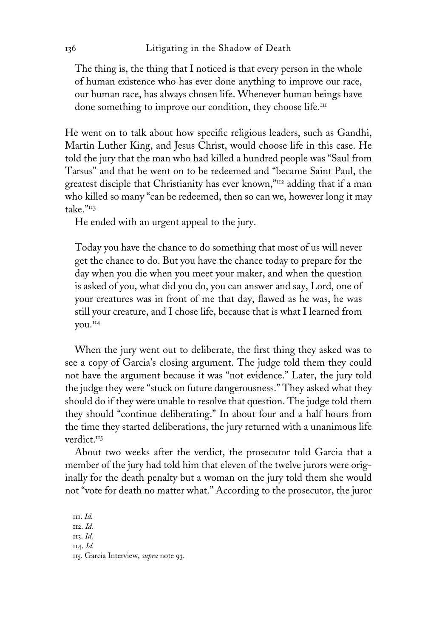The thing is, the thing that I noticed is that every person in the whole of human existence who has ever done anything to improve our race, our human race, has always chosen life. Whenever human beings have done something to improve our condition, they choose life.<sup>111</sup>

He went on to talk about how specific religious leaders, such as Gandhi, Martin Luther King, and Jesus Christ, would choose life in this case. He told the jury that the man who had killed a hundred people was "Saul from Tarsus" and that he went on to be redeemed and "became Saint Paul, the greatest disciple that Christianity has ever known,"<sup>112</sup> adding that if a man who killed so many "can be redeemed, then so can we, however long it may take."<sub>113</sub>

He ended with an urgent appeal to the jury.

Today you have the chance to do something that most of us will never get the chance to do. But you have the chance today to prepare for the day when you die when you meet your maker, and when the question is asked of you, what did you do, you can answer and say, Lord, one of your creatures was in front of me that day, flawed as he was, he was still your creature, and I chose life, because that is what I learned from you.114

When the jury went out to deliberate, the first thing they asked was to see a copy of Garcia's closing argument. The judge told them they could not have the argument because it was "not evidence." Later, the jury told the judge they were "stuck on future dangerousness." They asked what they should do if they were unable to resolve that question. The judge told them they should "continue deliberating." In about four and a half hours from the time they started deliberations, the jury returned with a unanimous life verdict.<sup>115</sup>

About two weeks after the verdict, the prosecutor told Garcia that a member of the jury had told him that eleven of the twelve jurors were originally for the death penalty but a woman on the jury told them she would not "vote for death no matter what." According to the prosecutor, the juror

111. *Id.* 112. *Id.* 113. *Id.* 114. *Id.* 115. Garcia Interview, *supra* note 93.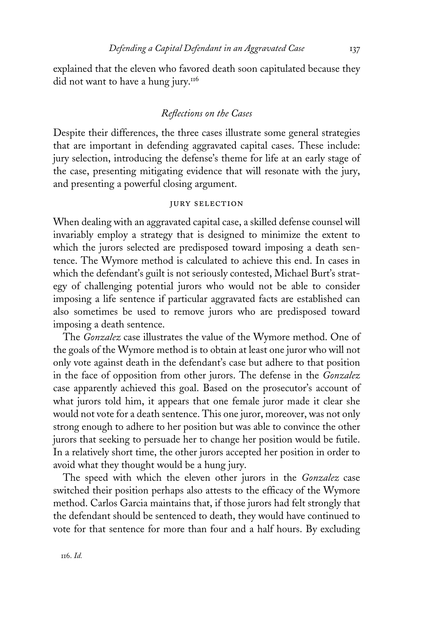explained that the eleven who favored death soon capitulated because they did not want to have a hung jury.<sup>116</sup>

#### $ReHections$  on the Cases

Despite their differences, the three cases illustrate some general strategies that are important in defending aggravated capital cases. These include: jury selection, introducing the defense's theme for life at an early stage of the case, presenting mitigating evidence that will resonate with the jury, and presenting a powerful closing argument.

#### jury selection

When dealing with an aggravated capital case, a skilled defense counsel will invariably employ a strategy that is designed to minimize the extent to which the jurors selected are predisposed toward imposing a death sentence. The Wymore method is calculated to achieve this end. In cases in which the defendant's guilt is not seriously contested, Michael Burt's strategy of challenging potential jurors who would not be able to consider imposing a life sentence if particular aggravated facts are established can also sometimes be used to remove jurors who are predisposed toward imposing a death sentence.

The *Gonzalez* case illustrates the value of the Wymore method. One of the goals of the Wymore method is to obtain at least one juror who will not only vote against death in the defendant's case but adhere to that position in the face of opposition from other jurors. The defense in the *Gonzalez* case apparently achieved this goal. Based on the prosecutor's account of what jurors told him, it appears that one female juror made it clear she would not vote for a death sentence. This one juror, moreover, was not only strong enough to adhere to her position but was able to convince the other jurors that seeking to persuade her to change her position would be futile. In a relatively short time, the other jurors accepted her position in order to avoid what they thought would be a hung jury.

The speed with which the eleven other jurors in the *Gonzalez* case switched their position perhaps also attests to the efficacy of the Wymore method. Carlos Garcia maintains that, if those jurors had felt strongly that the defendant should be sentenced to death, they would have continued to vote for that sentence for more than four and a half hours. By excluding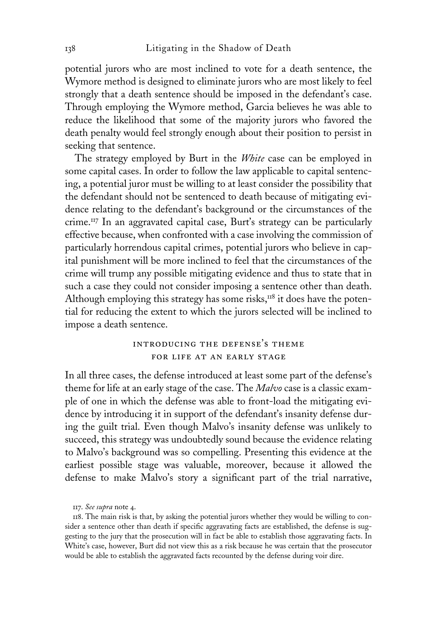potential jurors who are most inclined to vote for a death sentence, the Wymore method is designed to eliminate jurors who are most likely to feel strongly that a death sentence should be imposed in the defendant's case. Through employing the Wymore method, Garcia believes he was able to reduce the likelihood that some of the majority jurors who favored the death penalty would feel strongly enough about their position to persist in seeking that sentence.

The strategy employed by Burt in the *White* case can be employed in some capital cases. In order to follow the law applicable to capital sentencing, a potential juror must be willing to at least consider the possibility that the defendant should not be sentenced to death because of mitigating evidence relating to the defendant's background or the circumstances of the crime.<sup>117</sup> In an aggravated capital case, Burt's strategy can be particularly effective because, when confronted with a case involving the commission of particularly horrendous capital crimes, potential jurors who believe in capital punishment will be more inclined to feel that the circumstances of the crime will trump any possible mitigating evidence and thus to state that in such a case they could not consider imposing a sentence other than death. Although employing this strategy has some risks, $^{118}$  it does have the potential for reducing the extent to which the jurors selected will be inclined to impose a death sentence.

## introducing the defense's theme FOR LIFE AT AN EARLY STAGE

In all three cases, the defense introduced at least some part of the defense's theme for life at an early stage of the case. The *Malvo* case is a classic example of one in which the defense was able to front-load the mitigating evidence by introducing it in support of the defendant's insanity defense during the guilt trial. Even though Malvo's insanity defense was unlikely to succeed, this strategy was undoubtedly sound because the evidence relating to Malvo's background was so compelling. Presenting this evidence at the earliest possible stage was valuable, moreover, because it allowed the defense to make Malvo's story a significant part of the trial narrative,

<sup>117.</sup> *See supra* note 4.

<sup>118.</sup> The main risk is that, by asking the potential jurors whether they would be willing to consider a sentence other than death if specific aggravating facts are established, the defense is suggesting to the jury that the prosecution will in fact be able to establish those aggravating facts. In White's case, however, Burt did not view this as a risk because he was certain that the prosecutor would be able to establish the aggravated facts recounted by the defense during voir dire.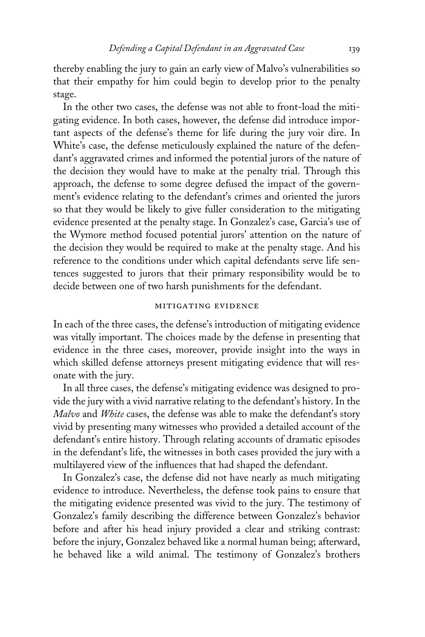thereby enabling the jury to gain an early view of Malvo's vulnerabilities so that their empathy for him could begin to develop prior to the penalty stage.

In the other two cases, the defense was not able to front-load the mitigating evidence. In both cases, however, the defense did introduce important aspects of the defense's theme for life during the jury voir dire. In White's case, the defense meticulously explained the nature of the defendant's aggravated crimes and informed the potential jurors of the nature of the decision they would have to make at the penalty trial. Through this approach, the defense to some degree defused the impact of the government's evidence relating to the defendant's crimes and oriented the jurors so that they would be likely to give fuller consideration to the mitigating evidence presented at the penalty stage. In Gonzalez's case, Garcia's use of the Wymore method focused potential jurors' attention on the nature of the decision they would be required to make at the penalty stage. And his reference to the conditions under which capital defendants serve life sentences suggested to jurors that their primary responsibility would be to decide between one of two harsh punishments for the defendant.

#### mitigating evidence

In each of the three cases, the defense's introduction of mitigating evidence was vitally important. The choices made by the defense in presenting that evidence in the three cases, moreover, provide insight into the ways in which skilled defense attorneys present mitigating evidence that will resonate with the jury.

In all three cases, the defense's mitigating evidence was designed to provide the jury with a vivid narrative relating to the defendant's history. In the *Malvo* and *White* cases, the defense was able to make the defendant's story vivid by presenting many witnesses who provided a detailed account of the defendant's entire history. Through relating accounts of dramatic episodes in the defendant's life, the witnesses in both cases provided the jury with a multilayered view of the influences that had shaped the defendant.

In Gonzalez's case, the defense did not have nearly as much mitigating evidence to introduce. Nevertheless, the defense took pains to ensure that the mitigating evidence presented was vivid to the jury. The testimony of Gonzalez's family describing the difference between Gonzalez's behavior before and after his head injury provided a clear and striking contrast: before the injury, Gonzalez behaved like a normal human being; afterward, he behaved like a wild animal. The testimony of Gonzalez's brothers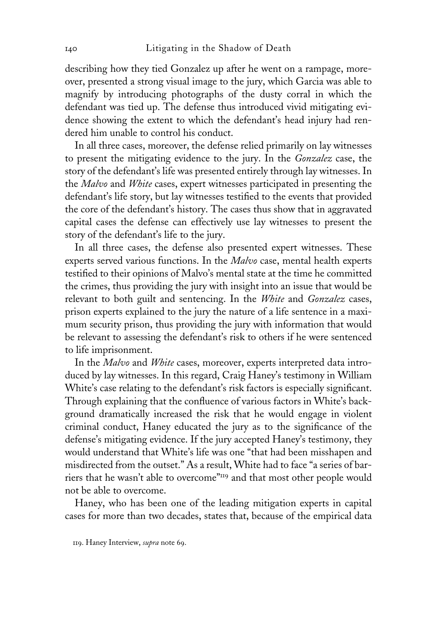describing how they tied Gonzalez up after he went on a rampage, moreover, presented a strong visual image to the jury, which Garcia was able to magnify by introducing photographs of the dusty corral in which the defendant was tied up. The defense thus introduced vivid mitigating evidence showing the extent to which the defendant's head injury had rendered him unable to control his conduct.

In all three cases, moreover, the defense relied primarily on lay witnesses to present the mitigating evidence to the jury. In the *Gonzalez* case, the story of the defendant's life was presented entirely through lay witnesses. In the *Malvo* and *White* cases, expert witnesses participated in presenting the defendant's life story, but lay witnesses testified to the events that provided the core of the defendant's history. The cases thus show that in aggravated capital cases the defense can effectively use lay witnesses to present the story of the defendant's life to the jury.

In all three cases, the defense also presented expert witnesses. These experts served various functions. In the *Malvo* case, mental health experts testified to their opinions of Malvo's mental state at the time he committed the crimes, thus providing the jury with insight into an issue that would be relevant to both guilt and sentencing. In the *White* and *Gonzalez* cases, prison experts explained to the jury the nature of a life sentence in a maximum security prison, thus providing the jury with information that would be relevant to assessing the defendant's risk to others if he were sentenced to life imprisonment.

In the *Malvo* and *White* cases, moreover, experts interpreted data introduced by lay witnesses. In this regard, Craig Haney's testimony in William White's case relating to the defendant's risk factors is especially significant. Through explaining that the confluence of various factors in White's background dramatically increased the risk that he would engage in violent criminal conduct, Haney educated the jury as to the significance of the defense's mitigating evidence. If the jury accepted Haney's testimony, they would understand that White's life was one "that had been misshapen and misdirected from the outset." As a result, White had to face "a series of barriers that he wasn't able to overcome"<sup>119</sup> and that most other people would not be able to overcome.

Haney, who has been one of the leading mitigation experts in capital cases for more than two decades, states that, because of the empirical data

<sup>119.</sup> Haney Interview, *supra* note 69.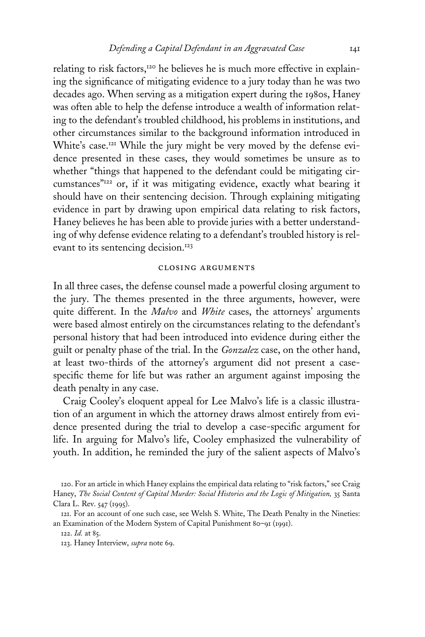relating to risk factors,<sup>120</sup> he believes he is much more effective in explaining the significance of mitigating evidence to a jury today than he was two decades ago. When serving as a mitigation expert during the 1980s, Haney was often able to help the defense introduce a wealth of information relating to the defendant's troubled childhood, his problems in institutions, and other circumstances similar to the background information introduced in White's case.<sup>121</sup> While the jury might be very moved by the defense evidence presented in these cases, they would sometimes be unsure as to whether "things that happened to the defendant could be mitigating circumstances"122 or, if it was mitigating evidence, exactly what bearing it should have on their sentencing decision. Through explaining mitigating evidence in part by drawing upon empirical data relating to risk factors, Haney believes he has been able to provide juries with a better understanding of why defense evidence relating to a defendant's troubled history is relevant to its sentencing decision.<sup>123</sup>

#### closing arguments

In all three cases, the defense counsel made a powerful closing argument to the jury. The themes presented in the three arguments, however, were quite different. In the *Malvo* and *White* cases, the attorneys' arguments were based almost entirely on the circumstances relating to the defendant's personal history that had been introduced into evidence during either the guilt or penalty phase of the trial. In the *Gonzalez* case, on the other hand, at least two-thirds of the attorney's argument did not present a casespecific theme for life but was rather an argument against imposing the death penalty in any case.

Craig Cooley's eloquent appeal for Lee Malvo's life is a classic illustration of an argument in which the attorney draws almost entirely from evidence presented during the trial to develop a case-specific argument for life. In arguing for Malvo's life, Cooley emphasized the vulnerability of youth. In addition, he reminded the jury of the salient aspects of Malvo's

<sup>120.</sup> For an article in which Haney explains the empirical data relating to "risk factors," see Craig Haney, *The Social Content of Capital Murder: Social Histories and the Logic of Mitigation,* 35 Santa Clara L. Rev. 547 (1995).

<sup>121.</sup> For an account of one such case, see Welsh S. White, The Death Penalty in the Nineties: an Examination of the Modern System of Capital Punishment 80–91 (1991).

<sup>122.</sup> *Id.* at 85.

<sup>123.</sup> Haney Interview, *supra* note 69.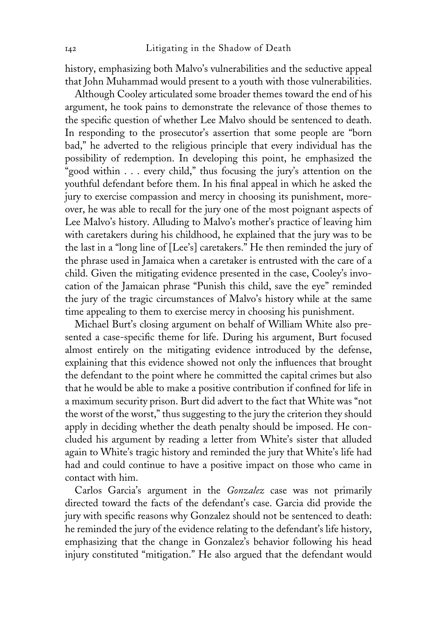history, emphasizing both Malvo's vulnerabilities and the seductive appeal that John Muhammad would present to a youth with those vulnerabilities.

Although Cooley articulated some broader themes toward the end of his argument, he took pains to demonstrate the relevance of those themes to the specific question of whether Lee Malvo should be sentenced to death. In responding to the prosecutor's assertion that some people are "born bad," he adverted to the religious principle that every individual has the possibility of redemption. In developing this point, he emphasized the "good within . . . every child," thus focusing the jury's attention on the youthful defendant before them. In his final appeal in which he asked the jury to exercise compassion and mercy in choosing its punishment, moreover, he was able to recall for the jury one of the most poignant aspects of Lee Malvo's history. Alluding to Malvo's mother's practice of leaving him with caretakers during his childhood, he explained that the jury was to be the last in a "long line of [Lee's] caretakers." He then reminded the jury of the phrase used in Jamaica when a caretaker is entrusted with the care of a child. Given the mitigating evidence presented in the case, Cooley's invocation of the Jamaican phrase "Punish this child, save the eye" reminded the jury of the tragic circumstances of Malvo's history while at the same time appealing to them to exercise mercy in choosing his punishment.

Michael Burt's closing argument on behalf of William White also presented a case-specific theme for life. During his argument, Burt focused almost entirely on the mitigating evidence introduced by the defense, explaining that this evidence showed not only the influences that brought the defendant to the point where he committed the capital crimes but also that he would be able to make a positive contribution if confined for life in a maximum security prison. Burt did advert to the fact that White was "not the worst of the worst," thus suggesting to the jury the criterion they should apply in deciding whether the death penalty should be imposed. He concluded his argument by reading a letter from White's sister that alluded again to White's tragic history and reminded the jury that White's life had had and could continue to have a positive impact on those who came in contact with him.

Carlos Garcia's argument in the *Gonzalez* case was not primarily directed toward the facts of the defendant's case. Garcia did provide the jury with specific reasons why Gonzalez should not be sentenced to death: he reminded the jury of the evidence relating to the defendant's life history, emphasizing that the change in Gonzalez's behavior following his head injury constituted "mitigation." He also argued that the defendant would